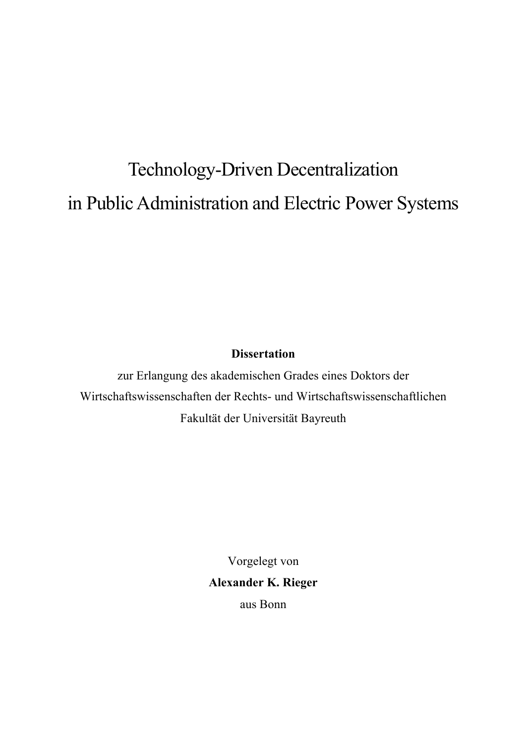# Technology-Driven Decentralization in Public Administration and Electric Power Systems

# **Dissertation**

zur Erlangung des akademischen Grades eines Doktors der Wirtschaftswissenschaften der Rechts- und Wirtschaftswissenschaftlichen Fakultät der Universität Bayreuth

> Vorgelegt von **Alexander K. Rieger** aus Bonn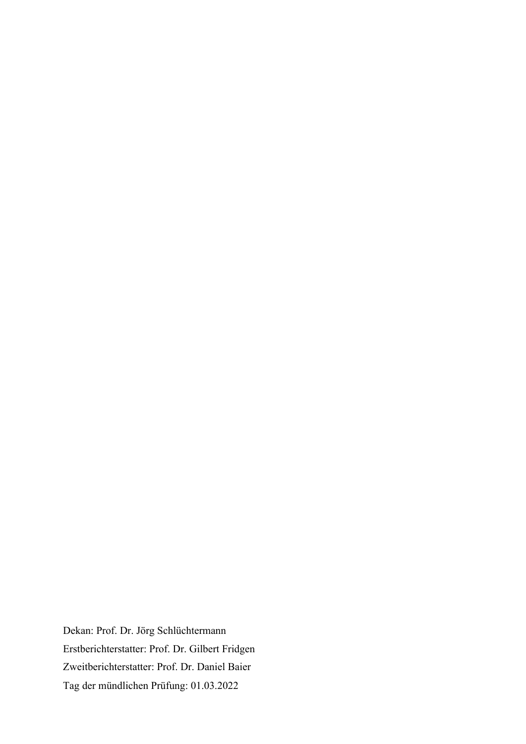Dekan: Prof. Dr. Jörg Schlüchtermann Erstberichterstatter: Prof. Dr. Gilbert Fridgen Zweitberichterstatter: Prof. Dr. Daniel Baier Tag der mündlichen Prüfung: 01.03.2022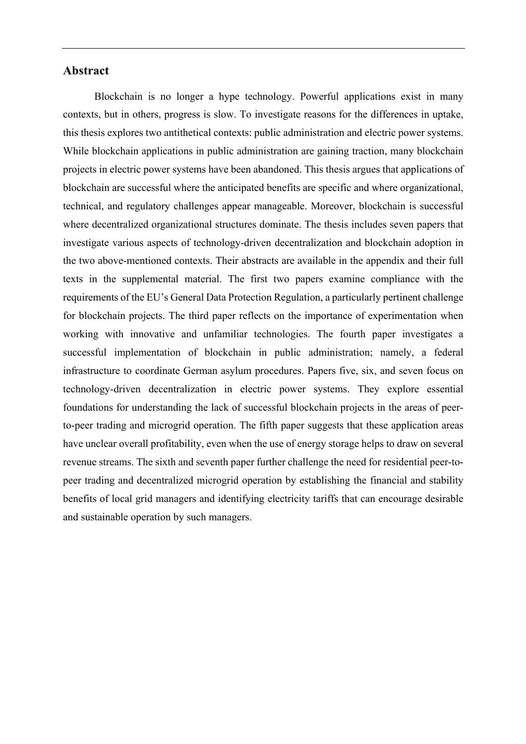#### **Abstract**

Blockchain is no longer a hype technology. Powerful applications exist in many contexts, but in others, progress is slow. To investigate reasons for the differences in uptake, this thesis explores two antithetical contexts: public administration and electric power systems. While blockchain applications in public administration are gaining traction, many blockchain projects in electric power systems have been abandoned. This thesis argues that applications of blockchain are successful where the anticipated benefits are specific and where organizational, technical, and regulatory challenges appear manageable. Moreover, blockchain is successful where decentralized organizational structures dominate. The thesis includes seven papers that investigate various aspects of technology-driven decentralization and blockchain adoption in the two above-mentioned contexts. Their abstracts are available in the appendix and their full texts in the supplemental material. The first two papers examine compliance with the requirements of the EU's General Data Protection Regulation, a particularly pertinent challenge for blockchain projects. The third paper reflects on the importance of experimentation when working with innovative and unfamiliar technologies. The fourth paper investigates a successful implementation of blockchain in public administration; namely, a federal infrastructure to coordinate German asylum procedures. Papers five, six, and seven focus on technology-driven decentralization in electric power systems. They explore essential foundations for understanding the lack of successful blockchain projects in the areas of peerto-peer trading and microgrid operation. The fifth paper suggests that these application areas have unclear overall profitability, even when the use of energy storage helps to draw on several revenue streams. The sixth and seventh paper further challenge the need for residential peer-topeer trading and decentralized microgrid operation by establishing the financial and stability benefits of local grid managers and identifying electricity tariffs that can encourage desirable and sustainable operation by such managers.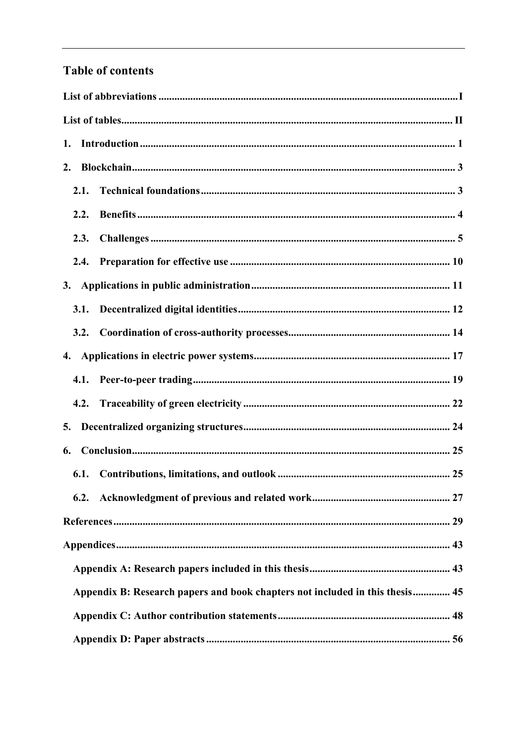# **Table of contents**

| 1.                                                                           |
|------------------------------------------------------------------------------|
| 2.                                                                           |
| 2.1.                                                                         |
| 2.2.                                                                         |
| 2.3.                                                                         |
| 2.4.                                                                         |
| 3.                                                                           |
| 3.1.                                                                         |
|                                                                              |
|                                                                              |
| 4.1.                                                                         |
| 4.2.                                                                         |
| 5.                                                                           |
| 6.                                                                           |
| 6.1.                                                                         |
|                                                                              |
|                                                                              |
|                                                                              |
|                                                                              |
| Appendix B: Research papers and book chapters not included in this thesis 45 |
|                                                                              |
|                                                                              |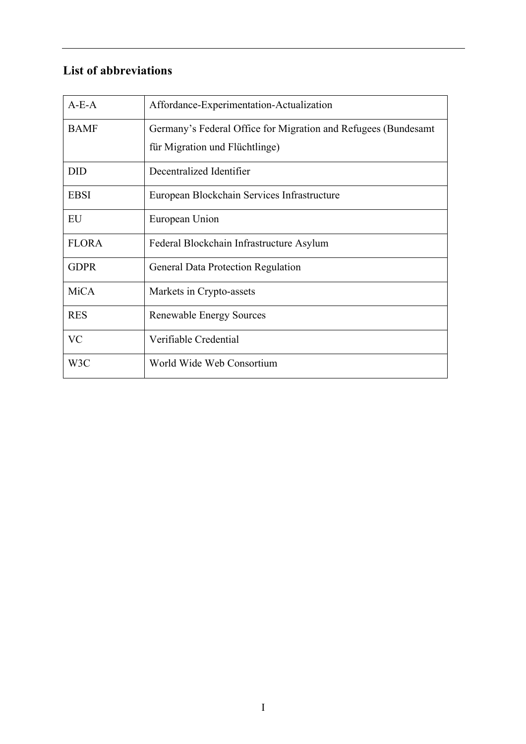# **List of abbreviations**

| $A-E-A$      | Affordance-Experimentation-Actualization                       |
|--------------|----------------------------------------------------------------|
| <b>BAMF</b>  | Germany's Federal Office for Migration and Refugees (Bundesamt |
|              | für Migration und Flüchtlinge)                                 |
| <b>DID</b>   | Decentralized Identifier                                       |
| <b>EBSI</b>  | European Blockchain Services Infrastructure                    |
| EU           | European Union                                                 |
| <b>FLORA</b> | Federal Blockchain Infrastructure Asylum                       |
| <b>GDPR</b>  | General Data Protection Regulation                             |
| <b>MiCA</b>  | Markets in Crypto-assets                                       |
| <b>RES</b>   | <b>Renewable Energy Sources</b>                                |
| <b>VC</b>    | Verifiable Credential                                          |
| W3C          | World Wide Web Consortium                                      |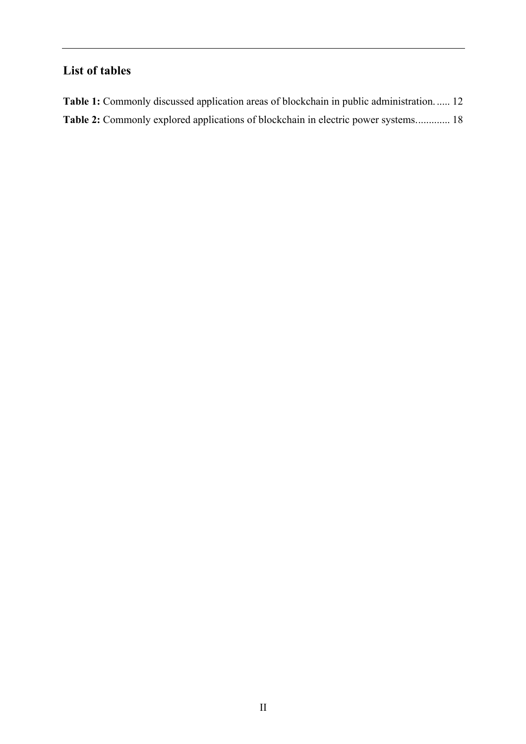# **List of tables**

| Table 1: Commonly discussed application areas of blockchain in public administration 12 |  |
|-----------------------------------------------------------------------------------------|--|
| Table 2: Commonly explored applications of blockchain in electric power systems 18      |  |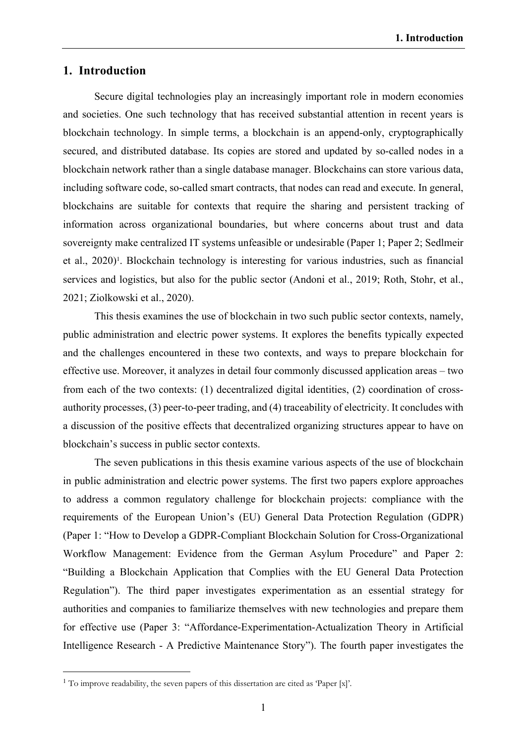#### **1. Introduction**

Secure digital technologies play an increasingly important role in modern economies and societies. One such technology that has received substantial attention in recent years is blockchain technology. In simple terms, a blockchain is an append-only, cryptographically secured, and distributed database. Its copies are stored and updated by so-called nodes in a blockchain network rather than a single database manager. Blockchains can store various data, including software code, so-called smart contracts, that nodes can read and execute. In general, blockchains are suitable for contexts that require the sharing and persistent tracking of information across organizational boundaries, but where concerns about trust and data sovereignty make centralized IT systems unfeasible or undesirable (Paper 1; Paper 2; Sedlmeir et al., 2020)<sup>1</sup>. Blockchain technology is interesting for various industries, such as financial services and logistics, but also for the public sector (Andoni et al., 2019; Roth, Stohr, et al., 2021; Ziolkowski et al., 2020).

This thesis examines the use of blockchain in two such public sector contexts, namely, public administration and electric power systems. It explores the benefits typically expected and the challenges encountered in these two contexts, and ways to prepare blockchain for effective use. Moreover, it analyzes in detail four commonly discussed application areas – two from each of the two contexts: (1) decentralized digital identities, (2) coordination of crossauthority processes, (3) peer-to-peer trading, and (4) traceability of electricity. It concludes with a discussion of the positive effects that decentralized organizing structures appear to have on blockchain's success in public sector contexts.

The seven publications in this thesis examine various aspects of the use of blockchain in public administration and electric power systems. The first two papers explore approaches to address a common regulatory challenge for blockchain projects: compliance with the requirements of the European Union's (EU) General Data Protection Regulation (GDPR) (Paper 1: "How to Develop a GDPR-Compliant Blockchain Solution for Cross-Organizational Workflow Management: Evidence from the German Asylum Procedure" and Paper 2: "Building a Blockchain Application that Complies with the EU General Data Protection Regulation"). The third paper investigates experimentation as an essential strategy for authorities and companies to familiarize themselves with new technologies and prepare them for effective use (Paper 3: "Affordance-Experimentation-Actualization Theory in Artificial Intelligence Research - A Predictive Maintenance Story"). The fourth paper investigates the

<sup>&</sup>lt;sup>1</sup> To improve readability, the seven papers of this dissertation are cited as 'Paper [x]'.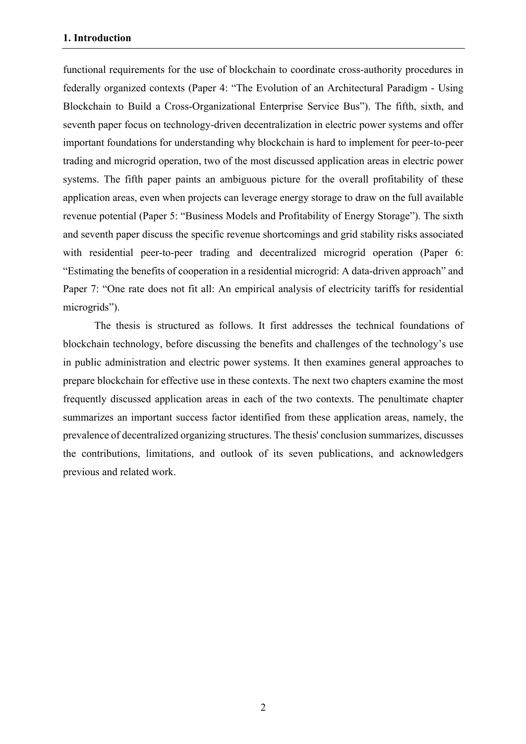functional requirements for the use of blockchain to coordinate cross-authority procedures in federally organized contexts (Paper 4: "The Evolution of an Architectural Paradigm - Using Blockchain to Build a Cross-Organizational Enterprise Service Bus"). The fifth, sixth, and seventh paper focus on technology-driven decentralization in electric power systems and offer important foundations for understanding why blockchain is hard to implement for peer-to-peer trading and microgrid operation, two of the most discussed application areas in electric power systems. The fifth paper paints an ambiguous picture for the overall profitability of these application areas, even when projects can leverage energy storage to draw on the full available revenue potential (Paper 5: "Business Models and Profitability of Energy Storage"). The sixth and seventh paper discuss the specific revenue shortcomings and grid stability risks associated with residential peer-to-peer trading and decentralized microgrid operation (Paper 6: "Estimating the benefits of cooperation in a residential microgrid: A data-driven approach" and Paper 7: "One rate does not fit all: An empirical analysis of electricity tariffs for residential microgrids").

The thesis is structured as follows. It first addresses the technical foundations of blockchain technology, before discussing the benefits and challenges of the technology's use in public administration and electric power systems. It then examines general approaches to prepare blockchain for effective use in these contexts. The next two chapters examine the most frequently discussed application areas in each of the two contexts. The penultimate chapter summarizes an important success factor identified from these application areas, namely, the prevalence of decentralized organizing structures. The thesis' conclusion summarizes, discusses the contributions, limitations, and outlook of its seven publications, and acknowledgers previous and related work.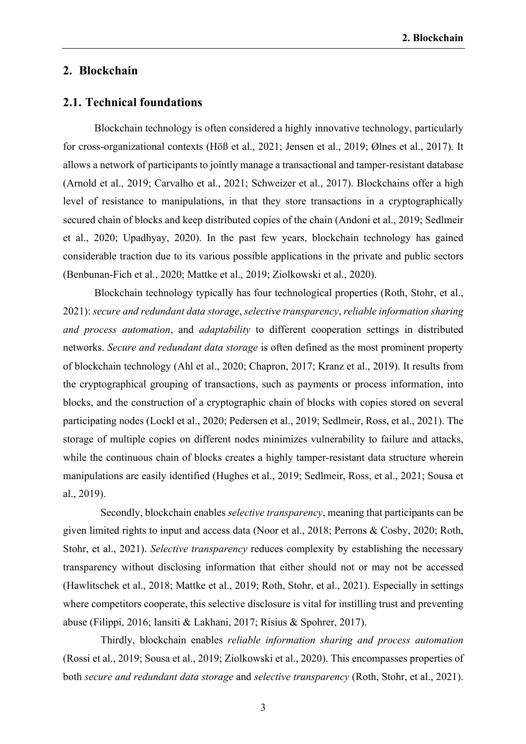#### **2. Blockchain**

#### **2.1. Technical foundations**

Blockchain technology is often considered a highly innovative technology, particularly for cross-organizational contexts (Höß et al., 2021; Jensen et al., 2019; Ølnes et al., 2017). It allows a network of participants to jointly manage a transactional and tamper-resistant database (Arnold et al., 2019; Carvalho et al., 2021; Schweizer et al., 2017). Blockchains offer a high level of resistance to manipulations, in that they store transactions in a cryptographically secured chain of blocks and keep distributed copies of the chain (Andoni et al., 2019; Sedlmeir et al., 2020; Upadhyay, 2020). In the past few years, blockchain technology has gained considerable traction due to its various possible applications in the private and public sectors (Benbunan-Fich et al., 2020; Mattke et al., 2019; Ziolkowski et al., 2020).

Blockchain technology typically has four technological properties (Roth, Stohr, et al., 2021): *secure and redundant data storage*, *selective transparency*, *reliable information sharing and process automation*, and *adaptability* to different cooperation settings in distributed networks. *Secure and redundant data storage* is often defined as the most prominent property of blockchain technology (Ahl et al., 2020; Chapron, 2017; Kranz et al., 2019). It results from the cryptographical grouping of transactions, such as payments or process information, into blocks, and the construction of a cryptographic chain of blocks with copies stored on several participating nodes (Lockl et al., 2020; Pedersen et al., 2019; Sedlmeir, Ross, et al., 2021). The storage of multiple copies on different nodes minimizes vulnerability to failure and attacks, while the continuous chain of blocks creates a highly tamper-resistant data structure wherein manipulations are easily identified (Hughes et al., 2019; Sedlmeir, Ross, et al., 2021; Sousa et al., 2019).

Secondly, blockchain enables *selective transparency*, meaning that participants can be given limited rights to input and access data (Noor et al., 2018; Perrons & Cosby, 2020; Roth, Stohr, et al., 2021). *Selective transparency* reduces complexity by establishing the necessary transparency without disclosing information that either should not or may not be accessed (Hawlitschek et al., 2018; Mattke et al., 2019; Roth, Stohr, et al., 2021). Especially in settings where competitors cooperate, this selective disclosure is vital for instilling trust and preventing abuse (Filippi, 2016; Iansiti & Lakhani, 2017; Risius & Spohrer, 2017).

Thirdly, blockchain enables *reliable information sharing and process automation* (Rossi et al., 2019; Sousa et al., 2019; Ziolkowski et al., 2020). This encompasses properties of both *secure and redundant data storage* and *selective transparency* (Roth, Stohr, et al., 2021).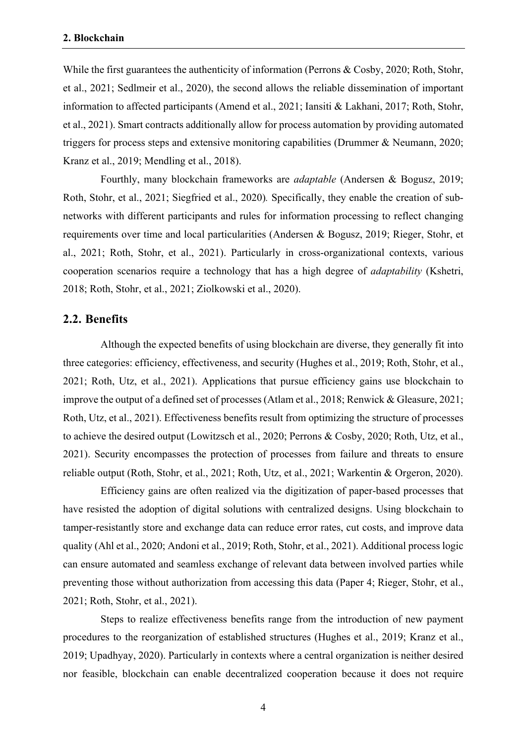While the first guarantees the authenticity of information (Perrons & Cosby, 2020; Roth, Stohr, et al., 2021; Sedlmeir et al., 2020), the second allows the reliable dissemination of important information to affected participants (Amend et al., 2021; Iansiti & Lakhani, 2017; Roth, Stohr, et al., 2021). Smart contracts additionally allow for process automation by providing automated triggers for process steps and extensive monitoring capabilities (Drummer & Neumann, 2020; Kranz et al., 2019; Mendling et al., 2018).

Fourthly, many blockchain frameworks are *adaptable* (Andersen & Bogusz, 2019; Roth, Stohr, et al., 2021; Siegfried et al., 2020)*.* Specifically, they enable the creation of subnetworks with different participants and rules for information processing to reflect changing requirements over time and local particularities (Andersen & Bogusz, 2019; Rieger, Stohr, et al., 2021; Roth, Stohr, et al., 2021). Particularly in cross-organizational contexts, various cooperation scenarios require a technology that has a high degree of *adaptability* (Kshetri, 2018; Roth, Stohr, et al., 2021; Ziolkowski et al., 2020).

#### **2.2. Benefits**

Although the expected benefits of using blockchain are diverse, they generally fit into three categories: efficiency, effectiveness, and security (Hughes et al., 2019; Roth, Stohr, et al., 2021; Roth, Utz, et al., 2021). Applications that pursue efficiency gains use blockchain to improve the output of a defined set of processes (Atlam et al., 2018; Renwick & Gleasure, 2021; Roth, Utz, et al., 2021). Effectiveness benefits result from optimizing the structure of processes to achieve the desired output (Lowitzsch et al., 2020; Perrons & Cosby, 2020; Roth, Utz, et al., 2021). Security encompasses the protection of processes from failure and threats to ensure reliable output (Roth, Stohr, et al., 2021; Roth, Utz, et al., 2021; Warkentin & Orgeron, 2020).

Efficiency gains are often realized via the digitization of paper-based processes that have resisted the adoption of digital solutions with centralized designs. Using blockchain to tamper-resistantly store and exchange data can reduce error rates, cut costs, and improve data quality (Ahl et al., 2020; Andoni et al., 2019; Roth, Stohr, et al., 2021). Additional process logic can ensure automated and seamless exchange of relevant data between involved parties while preventing those without authorization from accessing this data (Paper 4; Rieger, Stohr, et al., 2021; Roth, Stohr, et al., 2021).

Steps to realize effectiveness benefits range from the introduction of new payment procedures to the reorganization of established structures (Hughes et al., 2019; Kranz et al., 2019; Upadhyay, 2020). Particularly in contexts where a central organization is neither desired nor feasible, blockchain can enable decentralized cooperation because it does not require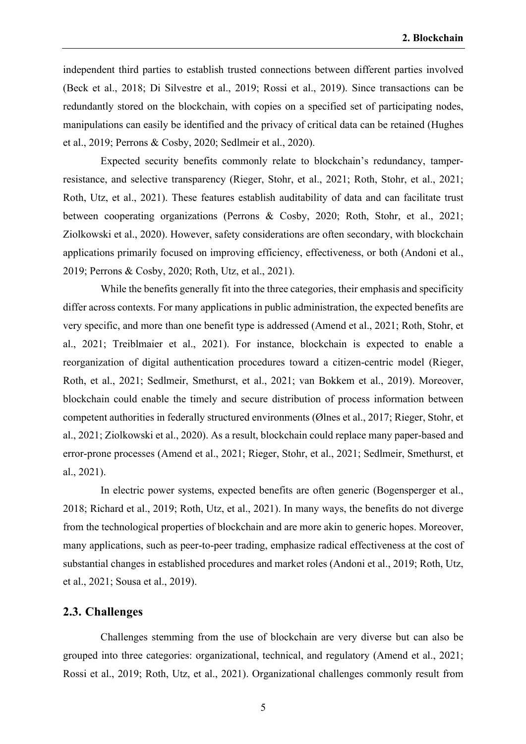independent third parties to establish trusted connections between different parties involved (Beck et al., 2018; Di Silvestre et al., 2019; Rossi et al., 2019). Since transactions can be redundantly stored on the blockchain, with copies on a specified set of participating nodes, manipulations can easily be identified and the privacy of critical data can be retained (Hughes et al., 2019; Perrons & Cosby, 2020; Sedlmeir et al., 2020).

Expected security benefits commonly relate to blockchain's redundancy, tamperresistance, and selective transparency (Rieger, Stohr, et al., 2021; Roth, Stohr, et al., 2021; Roth, Utz, et al., 2021). These features establish auditability of data and can facilitate trust between cooperating organizations (Perrons & Cosby, 2020; Roth, Stohr, et al., 2021; Ziolkowski et al., 2020). However, safety considerations are often secondary, with blockchain applications primarily focused on improving efficiency, effectiveness, or both (Andoni et al., 2019; Perrons & Cosby, 2020; Roth, Utz, et al., 2021).

While the benefits generally fit into the three categories, their emphasis and specificity differ across contexts. For many applications in public administration, the expected benefits are very specific, and more than one benefit type is addressed (Amend et al., 2021; Roth, Stohr, et al., 2021; Treiblmaier et al., 2021). For instance, blockchain is expected to enable a reorganization of digital authentication procedures toward a citizen-centric model (Rieger, Roth, et al., 2021; Sedlmeir, Smethurst, et al., 2021; van Bokkem et al., 2019). Moreover, blockchain could enable the timely and secure distribution of process information between competent authorities in federally structured environments (Ølnes et al., 2017; Rieger, Stohr, et al., 2021; Ziolkowski et al., 2020). As a result, blockchain could replace many paper-based and error-prone processes (Amend et al., 2021; Rieger, Stohr, et al., 2021; Sedlmeir, Smethurst, et al., 2021).

In electric power systems, expected benefits are often generic (Bogensperger et al., 2018; Richard et al., 2019; Roth, Utz, et al., 2021). In many ways, the benefits do not diverge from the technological properties of blockchain and are more akin to generic hopes. Moreover, many applications, such as peer-to-peer trading, emphasize radical effectiveness at the cost of substantial changes in established procedures and market roles (Andoni et al., 2019; Roth, Utz, et al., 2021; Sousa et al., 2019).

#### **2.3. Challenges**

Challenges stemming from the use of blockchain are very diverse but can also be grouped into three categories: organizational, technical, and regulatory (Amend et al., 2021; Rossi et al., 2019; Roth, Utz, et al., 2021). Organizational challenges commonly result from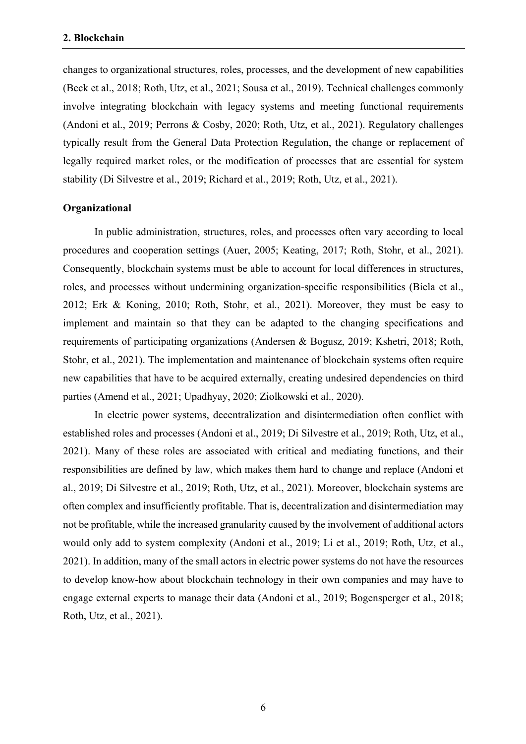changes to organizational structures, roles, processes, and the development of new capabilities (Beck et al., 2018; Roth, Utz, et al., 2021; Sousa et al., 2019). Technical challenges commonly involve integrating blockchain with legacy systems and meeting functional requirements (Andoni et al., 2019; Perrons & Cosby, 2020; Roth, Utz, et al., 2021). Regulatory challenges typically result from the General Data Protection Regulation, the change or replacement of legally required market roles, or the modification of processes that are essential for system stability (Di Silvestre et al., 2019; Richard et al., 2019; Roth, Utz, et al., 2021).

#### **Organizational**

In public administration, structures, roles, and processes often vary according to local procedures and cooperation settings (Auer, 2005; Keating, 2017; Roth, Stohr, et al., 2021). Consequently, blockchain systems must be able to account for local differences in structures, roles, and processes without undermining organization-specific responsibilities (Biela et al., 2012; Erk & Koning, 2010; Roth, Stohr, et al., 2021). Moreover, they must be easy to implement and maintain so that they can be adapted to the changing specifications and requirements of participating organizations (Andersen & Bogusz, 2019; Kshetri, 2018; Roth, Stohr, et al., 2021). The implementation and maintenance of blockchain systems often require new capabilities that have to be acquired externally, creating undesired dependencies on third parties (Amend et al., 2021; Upadhyay, 2020; Ziolkowski et al., 2020).

In electric power systems, decentralization and disintermediation often conflict with established roles and processes (Andoni et al., 2019; Di Silvestre et al., 2019; Roth, Utz, et al., 2021). Many of these roles are associated with critical and mediating functions, and their responsibilities are defined by law, which makes them hard to change and replace (Andoni et al., 2019; Di Silvestre et al., 2019; Roth, Utz, et al., 2021). Moreover, blockchain systems are often complex and insufficiently profitable. That is, decentralization and disintermediation may not be profitable, while the increased granularity caused by the involvement of additional actors would only add to system complexity (Andoni et al., 2019; Li et al., 2019; Roth, Utz, et al., 2021). In addition, many of the small actors in electric power systems do not have the resources to develop know-how about blockchain technology in their own companies and may have to engage external experts to manage their data (Andoni et al., 2019; Bogensperger et al., 2018; Roth, Utz, et al., 2021).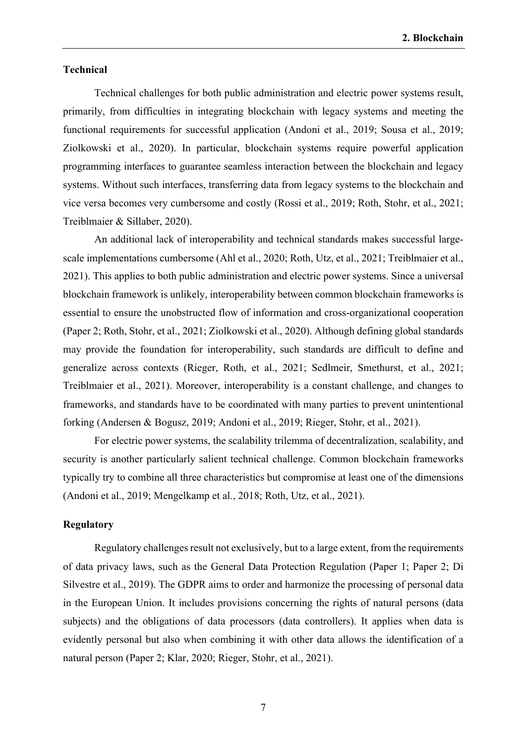#### **Technical**

Technical challenges for both public administration and electric power systems result, primarily, from difficulties in integrating blockchain with legacy systems and meeting the functional requirements for successful application (Andoni et al., 2019; Sousa et al., 2019; Ziolkowski et al., 2020). In particular, blockchain systems require powerful application programming interfaces to guarantee seamless interaction between the blockchain and legacy systems. Without such interfaces, transferring data from legacy systems to the blockchain and vice versa becomes very cumbersome and costly (Rossi et al., 2019; Roth, Stohr, et al., 2021; Treiblmaier & Sillaber, 2020).

An additional lack of interoperability and technical standards makes successful largescale implementations cumbersome (Ahl et al., 2020; Roth, Utz, et al., 2021; Treiblmaier et al., 2021). This applies to both public administration and electric power systems. Since a universal blockchain framework is unlikely, interoperability between common blockchain frameworks is essential to ensure the unobstructed flow of information and cross-organizational cooperation (Paper 2; Roth, Stohr, et al., 2021; Ziolkowski et al., 2020). Although defining global standards may provide the foundation for interoperability, such standards are difficult to define and generalize across contexts (Rieger, Roth, et al., 2021; Sedlmeir, Smethurst, et al., 2021; Treiblmaier et al., 2021). Moreover, interoperability is a constant challenge, and changes to frameworks, and standards have to be coordinated with many parties to prevent unintentional forking (Andersen & Bogusz, 2019; Andoni et al., 2019; Rieger, Stohr, et al., 2021).

For electric power systems, the scalability trilemma of decentralization, scalability, and security is another particularly salient technical challenge. Common blockchain frameworks typically try to combine all three characteristics but compromise at least one of the dimensions (Andoni et al., 2019; Mengelkamp et al., 2018; Roth, Utz, et al., 2021).

#### **Regulatory**

Regulatory challenges result not exclusively, but to a large extent, from the requirements of data privacy laws, such as the General Data Protection Regulation (Paper 1; Paper 2; Di Silvestre et al., 2019). The GDPR aims to order and harmonize the processing of personal data in the European Union. It includes provisions concerning the rights of natural persons (data subjects) and the obligations of data processors (data controllers). It applies when data is evidently personal but also when combining it with other data allows the identification of a natural person (Paper 2; Klar, 2020; Rieger, Stohr, et al., 2021).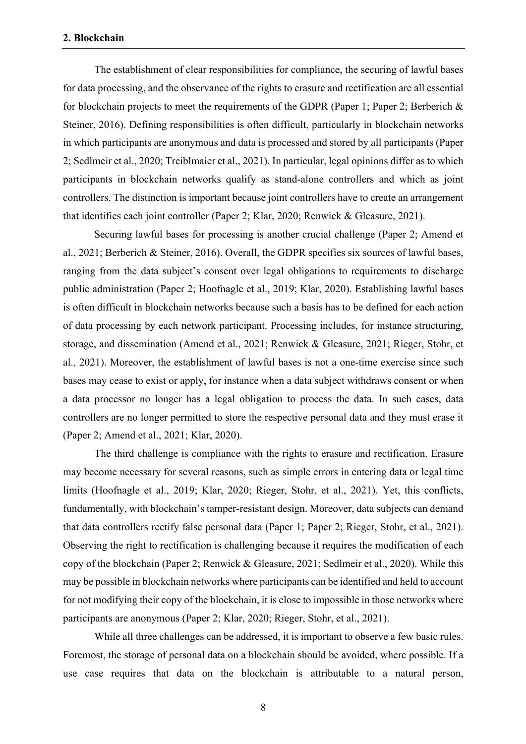The establishment of clear responsibilities for compliance, the securing of lawful bases for data processing, and the observance of the rights to erasure and rectification are all essential for blockchain projects to meet the requirements of the GDPR (Paper 1; Paper 2; Berberich & Steiner, 2016). Defining responsibilities is often difficult, particularly in blockchain networks in which participants are anonymous and data is processed and stored by all participants (Paper 2; Sedlmeir et al., 2020; Treiblmaier et al., 2021). In particular, legal opinions differ as to which participants in blockchain networks qualify as stand-alone controllers and which as joint controllers. The distinction is important because joint controllers have to create an arrangement that identifies each joint controller (Paper 2; Klar, 2020; Renwick & Gleasure, 2021).

Securing lawful bases for processing is another crucial challenge (Paper 2; Amend et al., 2021; Berberich & Steiner, 2016). Overall, the GDPR specifies six sources of lawful bases, ranging from the data subject's consent over legal obligations to requirements to discharge public administration (Paper 2; Hoofnagle et al., 2019; Klar, 2020). Establishing lawful bases is often difficult in blockchain networks because such a basis has to be defined for each action of data processing by each network participant. Processing includes, for instance structuring, storage, and dissemination (Amend et al., 2021; Renwick & Gleasure, 2021; Rieger, Stohr, et al., 2021). Moreover, the establishment of lawful bases is not a one-time exercise since such bases may cease to exist or apply, for instance when a data subject withdraws consent or when a data processor no longer has a legal obligation to process the data. In such cases, data controllers are no longer permitted to store the respective personal data and they must erase it (Paper 2; Amend et al., 2021; Klar, 2020).

The third challenge is compliance with the rights to erasure and rectification. Erasure may become necessary for several reasons, such as simple errors in entering data or legal time limits (Hoofnagle et al., 2019; Klar, 2020; Rieger, Stohr, et al., 2021). Yet, this conflicts, fundamentally, with blockchain's tamper-resistant design. Moreover, data subjects can demand that data controllers rectify false personal data (Paper 1; Paper 2; Rieger, Stohr, et al., 2021). Observing the right to rectification is challenging because it requires the modification of each copy of the blockchain (Paper 2; Renwick & Gleasure, 2021; Sedlmeir et al., 2020). While this may be possible in blockchain networks where participants can be identified and held to account for not modifying their copy of the blockchain, it is close to impossible in those networks where participants are anonymous (Paper 2; Klar, 2020; Rieger, Stohr, et al., 2021).

While all three challenges can be addressed, it is important to observe a few basic rules. Foremost, the storage of personal data on a blockchain should be avoided, where possible. If a use case requires that data on the blockchain is attributable to a natural person,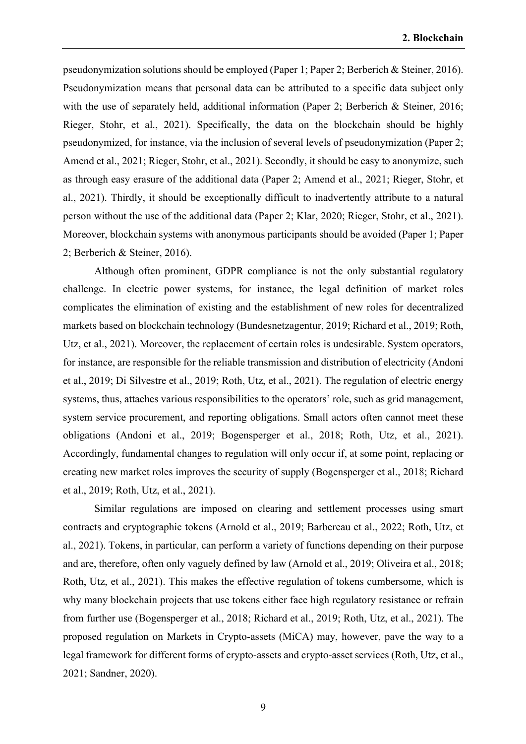pseudonymization solutions should be employed (Paper 1; Paper 2; Berberich & Steiner, 2016). Pseudonymization means that personal data can be attributed to a specific data subject only with the use of separately held, additional information (Paper 2; Berberich & Steiner, 2016; Rieger, Stohr, et al., 2021). Specifically, the data on the blockchain should be highly pseudonymized, for instance, via the inclusion of several levels of pseudonymization (Paper 2; Amend et al., 2021; Rieger, Stohr, et al., 2021). Secondly, it should be easy to anonymize, such as through easy erasure of the additional data (Paper 2; Amend et al., 2021; Rieger, Stohr, et al., 2021). Thirdly, it should be exceptionally difficult to inadvertently attribute to a natural person without the use of the additional data (Paper 2; Klar, 2020; Rieger, Stohr, et al., 2021). Moreover, blockchain systems with anonymous participants should be avoided (Paper 1; Paper 2; Berberich & Steiner, 2016).

Although often prominent, GDPR compliance is not the only substantial regulatory challenge. In electric power systems, for instance, the legal definition of market roles complicates the elimination of existing and the establishment of new roles for decentralized markets based on blockchain technology (Bundesnetzagentur, 2019; Richard et al., 2019; Roth, Utz, et al., 2021). Moreover, the replacement of certain roles is undesirable. System operators, for instance, are responsible for the reliable transmission and distribution of electricity (Andoni et al., 2019; Di Silvestre et al., 2019; Roth, Utz, et al., 2021). The regulation of electric energy systems, thus, attaches various responsibilities to the operators' role, such as grid management, system service procurement, and reporting obligations. Small actors often cannot meet these obligations (Andoni et al., 2019; Bogensperger et al., 2018; Roth, Utz, et al., 2021). Accordingly, fundamental changes to regulation will only occur if, at some point, replacing or creating new market roles improves the security of supply (Bogensperger et al., 2018; Richard et al., 2019; Roth, Utz, et al., 2021).

Similar regulations are imposed on clearing and settlement processes using smart contracts and cryptographic tokens (Arnold et al., 2019; Barbereau et al., 2022; Roth, Utz, et al., 2021). Tokens, in particular, can perform a variety of functions depending on their purpose and are, therefore, often only vaguely defined by law (Arnold et al., 2019; Oliveira et al., 2018; Roth, Utz, et al., 2021). This makes the effective regulation of tokens cumbersome, which is why many blockchain projects that use tokens either face high regulatory resistance or refrain from further use (Bogensperger et al., 2018; Richard et al., 2019; Roth, Utz, et al., 2021). The proposed regulation on Markets in Crypto-assets (MiCA) may, however, pave the way to a legal framework for different forms of crypto-assets and crypto-asset services (Roth, Utz, et al., 2021; Sandner, 2020).

9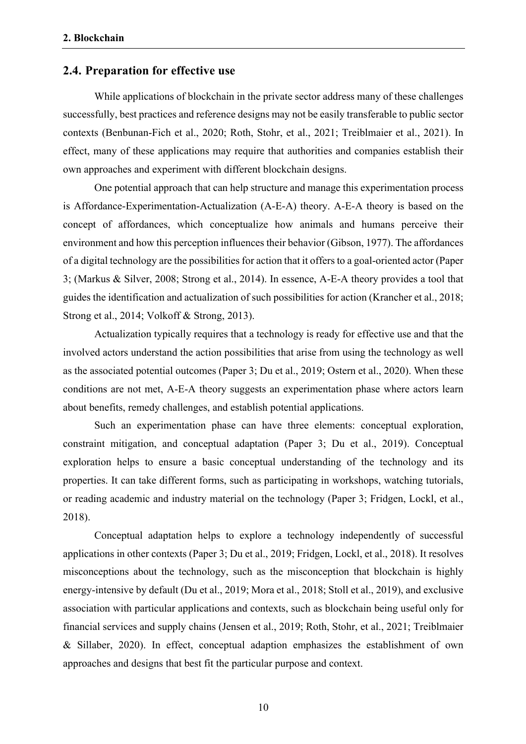#### **2.4. Preparation for effective use**

While applications of blockchain in the private sector address many of these challenges successfully, best practices and reference designs may not be easily transferable to public sector contexts (Benbunan-Fich et al., 2020; Roth, Stohr, et al., 2021; Treiblmaier et al., 2021). In effect, many of these applications may require that authorities and companies establish their own approaches and experiment with different blockchain designs.

One potential approach that can help structure and manage this experimentation process is Affordance-Experimentation-Actualization (A-E-A) theory. A-E-A theory is based on the concept of affordances, which conceptualize how animals and humans perceive their environment and how this perception influences their behavior (Gibson, 1977). The affordances of a digital technology are the possibilities for action that it offers to a goal-oriented actor (Paper 3; (Markus & Silver, 2008; Strong et al., 2014). In essence, A-E-A theory provides a tool that guides the identification and actualization of such possibilities for action (Krancher et al., 2018; Strong et al., 2014; Volkoff & Strong, 2013).

Actualization typically requires that a technology is ready for effective use and that the involved actors understand the action possibilities that arise from using the technology as well as the associated potential outcomes (Paper 3; Du et al., 2019; Ostern et al., 2020). When these conditions are not met, A-E-A theory suggests an experimentation phase where actors learn about benefits, remedy challenges, and establish potential applications.

Such an experimentation phase can have three elements: conceptual exploration, constraint mitigation, and conceptual adaptation (Paper 3; Du et al., 2019). Conceptual exploration helps to ensure a basic conceptual understanding of the technology and its properties. It can take different forms, such as participating in workshops, watching tutorials, or reading academic and industry material on the technology (Paper 3; Fridgen, Lockl, et al., 2018).

Conceptual adaptation helps to explore a technology independently of successful applications in other contexts (Paper 3; Du et al., 2019; Fridgen, Lockl, et al., 2018). It resolves misconceptions about the technology, such as the misconception that blockchain is highly energy-intensive by default (Du et al., 2019; Mora et al., 2018; Stoll et al., 2019), and exclusive association with particular applications and contexts, such as blockchain being useful only for financial services and supply chains (Jensen et al., 2019; Roth, Stohr, et al., 2021; Treiblmaier & Sillaber, 2020). In effect, conceptual adaption emphasizes the establishment of own approaches and designs that best fit the particular purpose and context.

10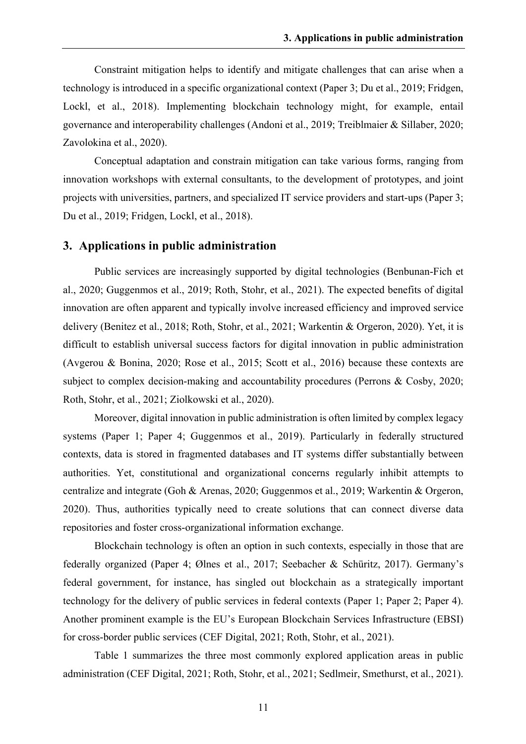Constraint mitigation helps to identify and mitigate challenges that can arise when a technology is introduced in a specific organizational context (Paper 3; Du et al., 2019; Fridgen, Lockl, et al., 2018). Implementing blockchain technology might, for example, entail governance and interoperability challenges (Andoni et al., 2019; Treiblmaier & Sillaber, 2020; Zavolokina et al., 2020).

Conceptual adaptation and constrain mitigation can take various forms, ranging from innovation workshops with external consultants, to the development of prototypes, and joint projects with universities, partners, and specialized IT service providers and start-ups (Paper 3; Du et al., 2019; Fridgen, Lockl, et al., 2018).

#### **3. Applications in public administration**

Public services are increasingly supported by digital technologies (Benbunan-Fich et al., 2020; Guggenmos et al., 2019; Roth, Stohr, et al., 2021). The expected benefits of digital innovation are often apparent and typically involve increased efficiency and improved service delivery (Benitez et al., 2018; Roth, Stohr, et al., 2021; Warkentin & Orgeron, 2020). Yet, it is difficult to establish universal success factors for digital innovation in public administration (Avgerou & Bonina, 2020; Rose et al., 2015; Scott et al., 2016) because these contexts are subject to complex decision-making and accountability procedures (Perrons & Cosby, 2020; Roth, Stohr, et al., 2021; Ziolkowski et al., 2020).

Moreover, digital innovation in public administration is often limited by complex legacy systems (Paper 1; Paper 4; Guggenmos et al., 2019). Particularly in federally structured contexts, data is stored in fragmented databases and IT systems differ substantially between authorities. Yet, constitutional and organizational concerns regularly inhibit attempts to centralize and integrate (Goh & Arenas, 2020; Guggenmos et al., 2019; Warkentin & Orgeron, 2020). Thus, authorities typically need to create solutions that can connect diverse data repositories and foster cross-organizational information exchange.

Blockchain technology is often an option in such contexts, especially in those that are federally organized (Paper 4; Ølnes et al., 2017; Seebacher & Schüritz, 2017). Germany's federal government, for instance, has singled out blockchain as a strategically important technology for the delivery of public services in federal contexts (Paper 1; Paper 2; Paper 4). Another prominent example is the EU's European Blockchain Services Infrastructure (EBSI) for cross-border public services (CEF Digital, 2021; Roth, Stohr, et al., 2021).

Table 1 summarizes the three most commonly explored application areas in public administration (CEF Digital, 2021; Roth, Stohr, et al., 2021; Sedlmeir, Smethurst, et al., 2021).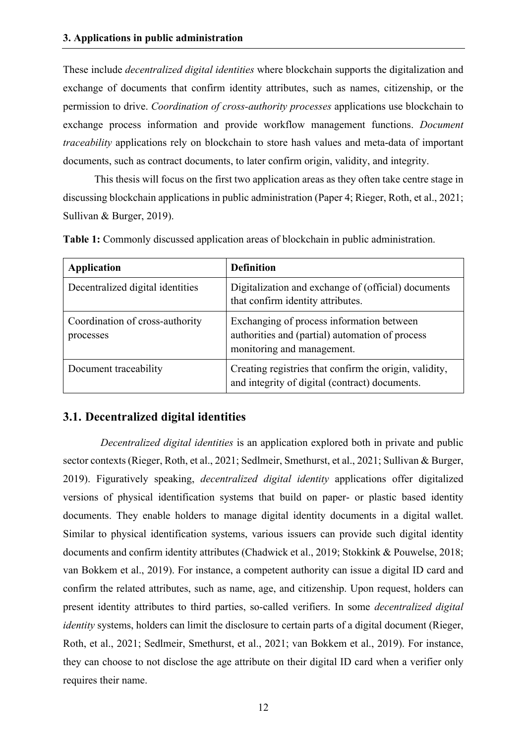These include *decentralized digital identities* where blockchain supports the digitalization and exchange of documents that confirm identity attributes, such as names, citizenship, or the permission to drive. *Coordination of cross-authority processes* applications use blockchain to exchange process information and provide workflow management functions. *Document traceability* applications rely on blockchain to store hash values and meta-data of important documents, such as contract documents, to later confirm origin, validity, and integrity.

This thesis will focus on the first two application areas as they often take centre stage in discussing blockchain applications in public administration (Paper 4; Rieger, Roth, et al., 2021; Sullivan & Burger, 2019).

| <b>Application</b>                           | <b>Definition</b>                                                                                                          |
|----------------------------------------------|----------------------------------------------------------------------------------------------------------------------------|
| Decentralized digital identities             | Digitalization and exchange of (official) documents<br>that confirm identity attributes.                                   |
| Coordination of cross-authority<br>processes | Exchanging of process information between<br>authorities and (partial) automation of process<br>monitoring and management. |
| Document traceability                        | Creating registries that confirm the origin, validity,<br>and integrity of digital (contract) documents.                   |

**Table 1:** Commonly discussed application areas of blockchain in public administration.

### **3.1. Decentralized digital identities**

*Decentralized digital identities* is an application explored both in private and public sector contexts (Rieger, Roth, et al., 2021; Sedlmeir, Smethurst, et al., 2021; Sullivan & Burger, 2019). Figuratively speaking, *decentralized digital identity* applications offer digitalized versions of physical identification systems that build on paper- or plastic based identity documents. They enable holders to manage digital identity documents in a digital wallet. Similar to physical identification systems, various issuers can provide such digital identity documents and confirm identity attributes (Chadwick et al., 2019; Stokkink & Pouwelse, 2018; van Bokkem et al., 2019). For instance, a competent authority can issue a digital ID card and confirm the related attributes, such as name, age, and citizenship. Upon request, holders can present identity attributes to third parties, so-called verifiers. In some *decentralized digital identity* systems, holders can limit the disclosure to certain parts of a digital document (Rieger, Roth, et al., 2021; Sedlmeir, Smethurst, et al., 2021; van Bokkem et al., 2019). For instance, they can choose to not disclose the age attribute on their digital ID card when a verifier only requires their name.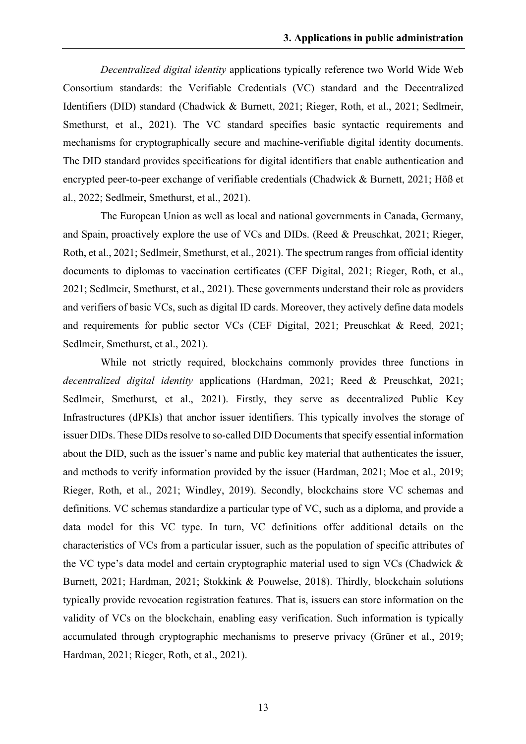*Decentralized digital identity* applications typically reference two World Wide Web Consortium standards: the Verifiable Credentials (VC) standard and the Decentralized Identifiers (DID) standard (Chadwick & Burnett, 2021; Rieger, Roth, et al., 2021; Sedlmeir, Smethurst, et al., 2021). The VC standard specifies basic syntactic requirements and mechanisms for cryptographically secure and machine-verifiable digital identity documents. The DID standard provides specifications for digital identifiers that enable authentication and encrypted peer-to-peer exchange of verifiable credentials (Chadwick & Burnett, 2021; Höß et al., 2022; Sedlmeir, Smethurst, et al., 2021).

The European Union as well as local and national governments in Canada, Germany, and Spain, proactively explore the use of VCs and DIDs. (Reed & Preuschkat, 2021; Rieger, Roth, et al., 2021; Sedlmeir, Smethurst, et al., 2021). The spectrum ranges from official identity documents to diplomas to vaccination certificates (CEF Digital, 2021; Rieger, Roth, et al., 2021; Sedlmeir, Smethurst, et al., 2021). These governments understand their role as providers and verifiers of basic VCs, such as digital ID cards. Moreover, they actively define data models and requirements for public sector VCs (CEF Digital, 2021; Preuschkat & Reed, 2021; Sedlmeir, Smethurst, et al., 2021).

While not strictly required, blockchains commonly provides three functions in *decentralized digital identity* applications (Hardman, 2021; Reed & Preuschkat, 2021; Sedlmeir, Smethurst, et al., 2021). Firstly, they serve as decentralized Public Key Infrastructures (dPKIs) that anchor issuer identifiers. This typically involves the storage of issuer DIDs. These DIDs resolve to so-called DID Documents that specify essential information about the DID, such as the issuer's name and public key material that authenticates the issuer, and methods to verify information provided by the issuer (Hardman, 2021; Moe et al., 2019; Rieger, Roth, et al., 2021; Windley, 2019). Secondly, blockchains store VC schemas and definitions. VC schemas standardize a particular type of VC, such as a diploma, and provide a data model for this VC type. In turn, VC definitions offer additional details on the characteristics of VCs from a particular issuer, such as the population of specific attributes of the VC type's data model and certain cryptographic material used to sign VCs (Chadwick & Burnett, 2021; Hardman, 2021; Stokkink & Pouwelse, 2018). Thirdly, blockchain solutions typically provide revocation registration features. That is, issuers can store information on the validity of VCs on the blockchain, enabling easy verification. Such information is typically accumulated through cryptographic mechanisms to preserve privacy (Grüner et al., 2019; Hardman, 2021; Rieger, Roth, et al., 2021).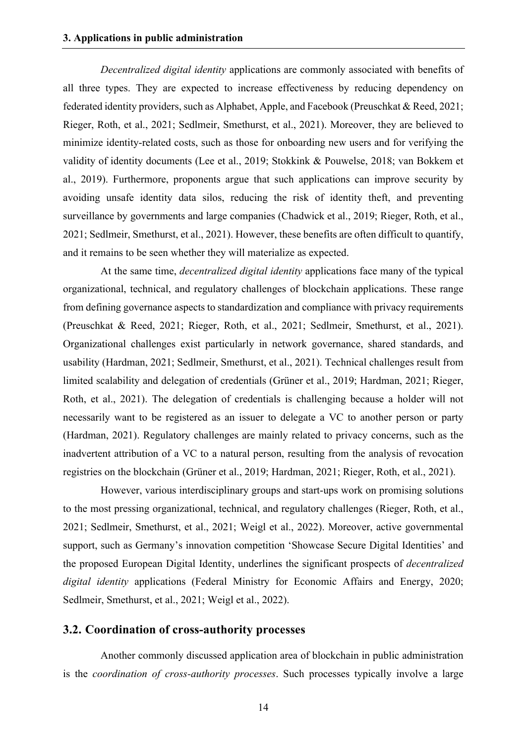*Decentralized digital identity* applications are commonly associated with benefits of all three types. They are expected to increase effectiveness by reducing dependency on federated identity providers, such as Alphabet, Apple, and Facebook (Preuschkat & Reed, 2021; Rieger, Roth, et al., 2021; Sedlmeir, Smethurst, et al., 2021). Moreover, they are believed to minimize identity-related costs, such as those for onboarding new users and for verifying the validity of identity documents (Lee et al., 2019; Stokkink & Pouwelse, 2018; van Bokkem et al., 2019). Furthermore, proponents argue that such applications can improve security by avoiding unsafe identity data silos, reducing the risk of identity theft, and preventing surveillance by governments and large companies (Chadwick et al., 2019; Rieger, Roth, et al., 2021; Sedlmeir, Smethurst, et al., 2021). However, these benefits are often difficult to quantify, and it remains to be seen whether they will materialize as expected.

At the same time, *decentralized digital identity* applications face many of the typical organizational, technical, and regulatory challenges of blockchain applications. These range from defining governance aspects to standardization and compliance with privacy requirements (Preuschkat & Reed, 2021; Rieger, Roth, et al., 2021; Sedlmeir, Smethurst, et al., 2021). Organizational challenges exist particularly in network governance, shared standards, and usability (Hardman, 2021; Sedlmeir, Smethurst, et al., 2021). Technical challenges result from limited scalability and delegation of credentials (Grüner et al., 2019; Hardman, 2021; Rieger, Roth, et al., 2021). The delegation of credentials is challenging because a holder will not necessarily want to be registered as an issuer to delegate a VC to another person or party (Hardman, 2021). Regulatory challenges are mainly related to privacy concerns, such as the inadvertent attribution of a VC to a natural person, resulting from the analysis of revocation registries on the blockchain (Grüner et al., 2019; Hardman, 2021; Rieger, Roth, et al., 2021).

However, various interdisciplinary groups and start-ups work on promising solutions to the most pressing organizational, technical, and regulatory challenges (Rieger, Roth, et al., 2021; Sedlmeir, Smethurst, et al., 2021; Weigl et al., 2022). Moreover, active governmental support, such as Germany's innovation competition 'Showcase Secure Digital Identities' and the proposed European Digital Identity, underlines the significant prospects of *decentralized digital identity* applications (Federal Ministry for Economic Affairs and Energy, 2020; Sedlmeir, Smethurst, et al., 2021; Weigl et al., 2022).

#### **3.2. Coordination of cross-authority processes**

Another commonly discussed application area of blockchain in public administration is the *coordination of cross-authority processes*. Such processes typically involve a large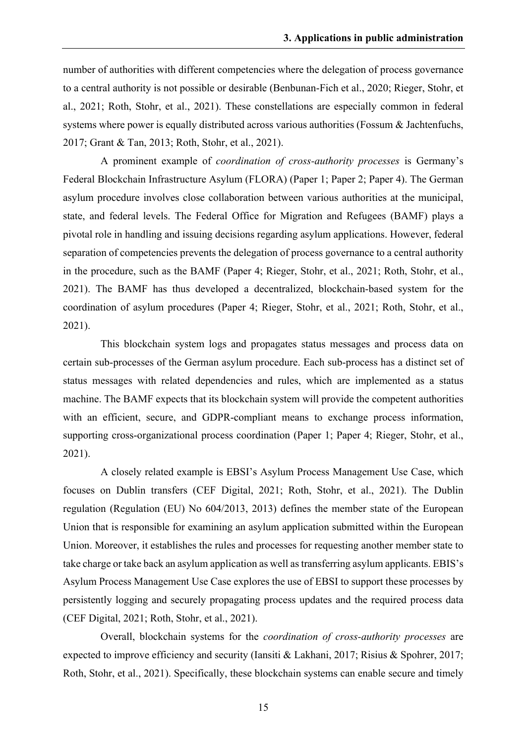number of authorities with different competencies where the delegation of process governance to a central authority is not possible or desirable (Benbunan-Fich et al., 2020; Rieger, Stohr, et al., 2021; Roth, Stohr, et al., 2021). These constellations are especially common in federal systems where power is equally distributed across various authorities (Fossum & Jachtenfuchs, 2017; Grant & Tan, 2013; Roth, Stohr, et al., 2021).

A prominent example of *coordination of cross-authority processes* is Germany's Federal Blockchain Infrastructure Asylum (FLORA) (Paper 1; Paper 2; Paper 4). The German asylum procedure involves close collaboration between various authorities at the municipal, state, and federal levels. The Federal Office for Migration and Refugees (BAMF) plays a pivotal role in handling and issuing decisions regarding asylum applications. However, federal separation of competencies prevents the delegation of process governance to a central authority in the procedure, such as the BAMF (Paper 4; Rieger, Stohr, et al., 2021; Roth, Stohr, et al., 2021). The BAMF has thus developed a decentralized, blockchain-based system for the coordination of asylum procedures (Paper 4; Rieger, Stohr, et al., 2021; Roth, Stohr, et al., 2021).

This blockchain system logs and propagates status messages and process data on certain sub-processes of the German asylum procedure. Each sub-process has a distinct set of status messages with related dependencies and rules, which are implemented as a status machine. The BAMF expects that its blockchain system will provide the competent authorities with an efficient, secure, and GDPR-compliant means to exchange process information, supporting cross-organizational process coordination (Paper 1; Paper 4; Rieger, Stohr, et al., 2021).

A closely related example is EBSI's Asylum Process Management Use Case, which focuses on Dublin transfers (CEF Digital, 2021; Roth, Stohr, et al., 2021). The Dublin regulation (Regulation (EU) No 604/2013, 2013) defines the member state of the European Union that is responsible for examining an asylum application submitted within the European Union. Moreover, it establishes the rules and processes for requesting another member state to take charge or take back an asylum application as well as transferring asylum applicants. EBIS's Asylum Process Management Use Case explores the use of EBSI to support these processes by persistently logging and securely propagating process updates and the required process data (CEF Digital, 2021; Roth, Stohr, et al., 2021).

Overall, blockchain systems for the *coordination of cross-authority processes* are expected to improve efficiency and security (Iansiti & Lakhani, 2017; Risius & Spohrer, 2017; Roth, Stohr, et al., 2021). Specifically, these blockchain systems can enable secure and timely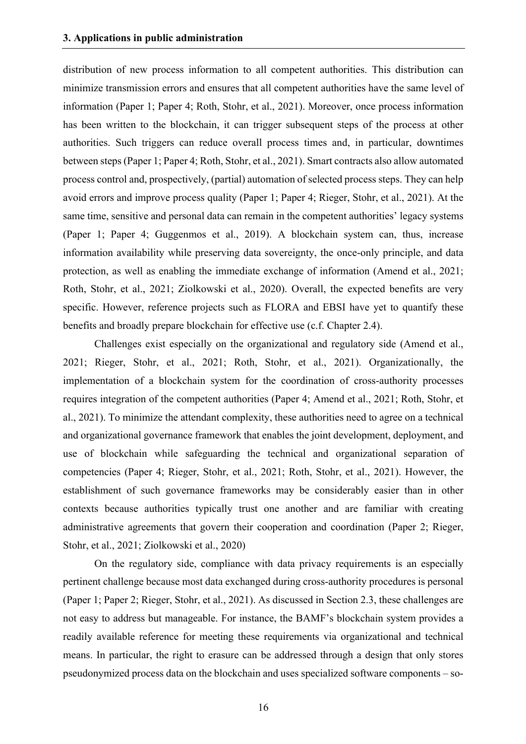distribution of new process information to all competent authorities. This distribution can minimize transmission errors and ensures that all competent authorities have the same level of information (Paper 1; Paper 4; Roth, Stohr, et al., 2021). Moreover, once process information has been written to the blockchain, it can trigger subsequent steps of the process at other authorities. Such triggers can reduce overall process times and, in particular, downtimes between steps(Paper 1; Paper 4; Roth, Stohr, et al., 2021). Smart contracts also allow automated process control and, prospectively, (partial) automation of selected process steps. They can help avoid errors and improve process quality (Paper 1; Paper 4; Rieger, Stohr, et al., 2021). At the same time, sensitive and personal data can remain in the competent authorities' legacy systems (Paper 1; Paper 4; Guggenmos et al., 2019). A blockchain system can, thus, increase information availability while preserving data sovereignty, the once-only principle, and data protection, as well as enabling the immediate exchange of information (Amend et al., 2021; Roth, Stohr, et al., 2021; Ziolkowski et al., 2020). Overall, the expected benefits are very specific. However, reference projects such as FLORA and EBSI have yet to quantify these benefits and broadly prepare blockchain for effective use (c.f. Chapter 2.4).

Challenges exist especially on the organizational and regulatory side (Amend et al., 2021; Rieger, Stohr, et al., 2021; Roth, Stohr, et al., 2021). Organizationally, the implementation of a blockchain system for the coordination of cross-authority processes requires integration of the competent authorities (Paper 4; Amend et al., 2021; Roth, Stohr, et al., 2021). To minimize the attendant complexity, these authorities need to agree on a technical and organizational governance framework that enables the joint development, deployment, and use of blockchain while safeguarding the technical and organizational separation of competencies (Paper 4; Rieger, Stohr, et al., 2021; Roth, Stohr, et al., 2021). However, the establishment of such governance frameworks may be considerably easier than in other contexts because authorities typically trust one another and are familiar with creating administrative agreements that govern their cooperation and coordination (Paper 2; Rieger, Stohr, et al., 2021; Ziolkowski et al., 2020)

On the regulatory side, compliance with data privacy requirements is an especially pertinent challenge because most data exchanged during cross-authority procedures is personal (Paper 1; Paper 2; Rieger, Stohr, et al., 2021). As discussed in Section 2.3, these challenges are not easy to address but manageable. For instance, the BAMF's blockchain system provides a readily available reference for meeting these requirements via organizational and technical means. In particular, the right to erasure can be addressed through a design that only stores pseudonymized process data on the blockchain and uses specialized software components – so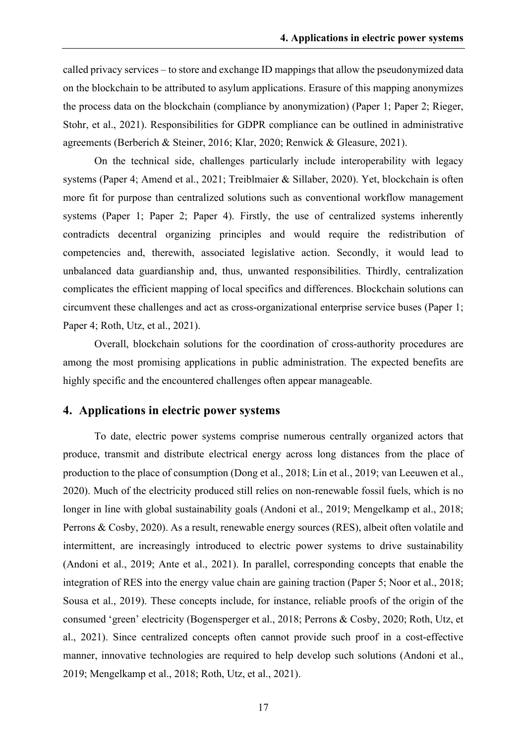called privacy services – to store and exchange ID mappings that allow the pseudonymized data on the blockchain to be attributed to asylum applications. Erasure of this mapping anonymizes the process data on the blockchain (compliance by anonymization) (Paper 1; Paper 2; Rieger, Stohr, et al., 2021). Responsibilities for GDPR compliance can be outlined in administrative agreements (Berberich & Steiner, 2016; Klar, 2020; Renwick & Gleasure, 2021).

On the technical side, challenges particularly include interoperability with legacy systems (Paper 4; Amend et al., 2021; Treiblmaier & Sillaber, 2020). Yet, blockchain is often more fit for purpose than centralized solutions such as conventional workflow management systems (Paper 1; Paper 2; Paper 4). Firstly, the use of centralized systems inherently contradicts decentral organizing principles and would require the redistribution of competencies and, therewith, associated legislative action. Secondly, it would lead to unbalanced data guardianship and, thus, unwanted responsibilities. Thirdly, centralization complicates the efficient mapping of local specifics and differences. Blockchain solutions can circumvent these challenges and act as cross-organizational enterprise service buses (Paper 1; Paper 4; Roth, Utz, et al., 2021).

Overall, blockchain solutions for the coordination of cross-authority procedures are among the most promising applications in public administration. The expected benefits are highly specific and the encountered challenges often appear manageable.

#### **4. Applications in electric power systems**

To date, electric power systems comprise numerous centrally organized actors that produce, transmit and distribute electrical energy across long distances from the place of production to the place of consumption (Dong et al., 2018; Lin et al., 2019; van Leeuwen et al., 2020). Much of the electricity produced still relies on non-renewable fossil fuels, which is no longer in line with global sustainability goals (Andoni et al., 2019; Mengelkamp et al., 2018; Perrons & Cosby, 2020). As a result, renewable energy sources (RES), albeit often volatile and intermittent, are increasingly introduced to electric power systems to drive sustainability (Andoni et al., 2019; Ante et al., 2021). In parallel, corresponding concepts that enable the integration of RES into the energy value chain are gaining traction (Paper 5; Noor et al., 2018; Sousa et al., 2019). These concepts include, for instance, reliable proofs of the origin of the consumed 'green' electricity (Bogensperger et al., 2018; Perrons & Cosby, 2020; Roth, Utz, et al., 2021). Since centralized concepts often cannot provide such proof in a cost-effective manner, innovative technologies are required to help develop such solutions (Andoni et al., 2019; Mengelkamp et al., 2018; Roth, Utz, et al., 2021).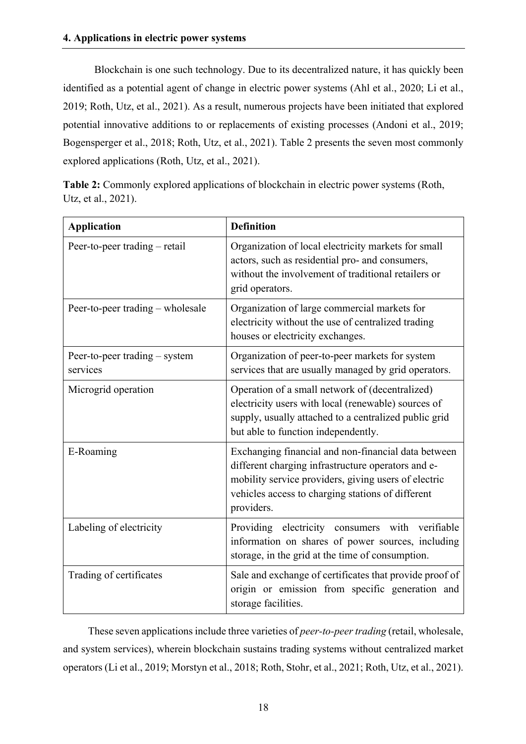Blockchain is one such technology. Due to its decentralized nature, it has quickly been identified as a potential agent of change in electric power systems (Ahl et al., 2020; Li et al., 2019; Roth, Utz, et al., 2021). As a result, numerous projects have been initiated that explored potential innovative additions to or replacements of existing processes (Andoni et al., 2019; Bogensperger et al., 2018; Roth, Utz, et al., 2021). Table 2 presents the seven most commonly explored applications (Roth, Utz, et al., 2021).

**Table 2:** Commonly explored applications of blockchain in electric power systems (Roth, Utz, et al., 2021).

| <b>Application</b>                        | <b>Definition</b>                                                                                                                                                                                                                    |
|-------------------------------------------|--------------------------------------------------------------------------------------------------------------------------------------------------------------------------------------------------------------------------------------|
| Peer-to-peer trading – retail             | Organization of local electricity markets for small<br>actors, such as residential pro- and consumers,<br>without the involvement of traditional retailers or<br>grid operators.                                                     |
| Peer-to-peer trading – wholesale          | Organization of large commercial markets for<br>electricity without the use of centralized trading<br>houses or electricity exchanges.                                                                                               |
| Peer-to-peer trading – system<br>services | Organization of peer-to-peer markets for system<br>services that are usually managed by grid operators.                                                                                                                              |
| Microgrid operation                       | Operation of a small network of (decentralized)<br>electricity users with local (renewable) sources of<br>supply, usually attached to a centralized public grid<br>but able to function independently.                               |
| E-Roaming                                 | Exchanging financial and non-financial data between<br>different charging infrastructure operators and e-<br>mobility service providers, giving users of electric<br>vehicles access to charging stations of different<br>providers. |
| Labeling of electricity                   | Providing electricity consumers with verifiable<br>information on shares of power sources, including<br>storage, in the grid at the time of consumption.                                                                             |
| Trading of certificates                   | Sale and exchange of certificates that provide proof of<br>origin or emission from specific generation and<br>storage facilities.                                                                                                    |

These seven applications include three varieties of *peer-to-peer trading* (retail, wholesale, and system services), wherein blockchain sustains trading systems without centralized market operators (Li et al., 2019; Morstyn et al., 2018; Roth, Stohr, et al., 2021; Roth, Utz, et al., 2021).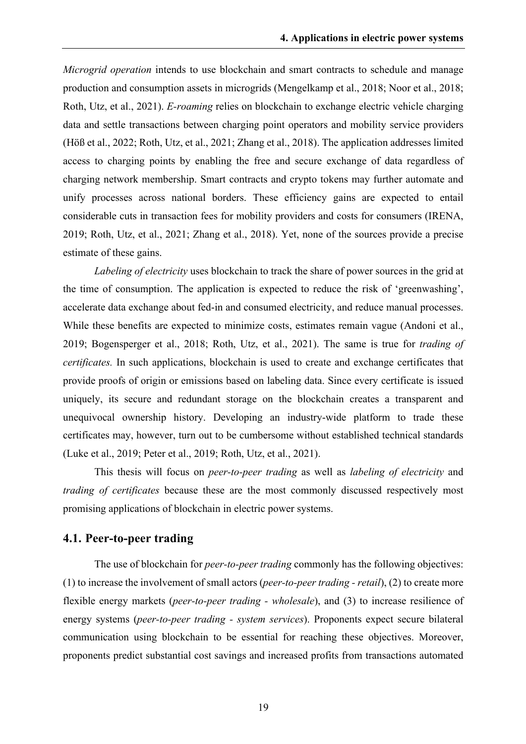*Microgrid operation* intends to use blockchain and smart contracts to schedule and manage production and consumption assets in microgrids (Mengelkamp et al., 2018; Noor et al., 2018; Roth, Utz, et al., 2021). *E-roaming* relies on blockchain to exchange electric vehicle charging data and settle transactions between charging point operators and mobility service providers (Höß et al., 2022; Roth, Utz, et al., 2021; Zhang et al., 2018). The application addresses limited access to charging points by enabling the free and secure exchange of data regardless of charging network membership. Smart contracts and crypto tokens may further automate and unify processes across national borders. These efficiency gains are expected to entail considerable cuts in transaction fees for mobility providers and costs for consumers (IRENA, 2019; Roth, Utz, et al., 2021; Zhang et al., 2018). Yet, none of the sources provide a precise estimate of these gains.

*Labeling of electricity* uses blockchain to track the share of power sources in the grid at the time of consumption. The application is expected to reduce the risk of 'greenwashing', accelerate data exchange about fed-in and consumed electricity, and reduce manual processes. While these benefits are expected to minimize costs, estimates remain vague (Andoni et al., 2019; Bogensperger et al., 2018; Roth, Utz, et al., 2021). The same is true for *trading of certificates.* In such applications, blockchain is used to create and exchange certificates that provide proofs of origin or emissions based on labeling data. Since every certificate is issued uniquely, its secure and redundant storage on the blockchain creates a transparent and unequivocal ownership history. Developing an industry-wide platform to trade these certificates may, however, turn out to be cumbersome without established technical standards (Luke et al., 2019; Peter et al., 2019; Roth, Utz, et al., 2021).

This thesis will focus on *peer-to-peer trading* as well as *labeling of electricity* and *trading of certificates* because these are the most commonly discussed respectively most promising applications of blockchain in electric power systems.

#### **4.1. Peer-to-peer trading**

The use of blockchain for *peer-to-peer trading* commonly has the following objectives: (1) to increase the involvement of small actors (*peer-to-peer trading - retail*), (2) to create more flexible energy markets (*peer-to-peer trading - wholesale*), and (3) to increase resilience of energy systems (*peer-to-peer trading - system services*). Proponents expect secure bilateral communication using blockchain to be essential for reaching these objectives. Moreover, proponents predict substantial cost savings and increased profits from transactions automated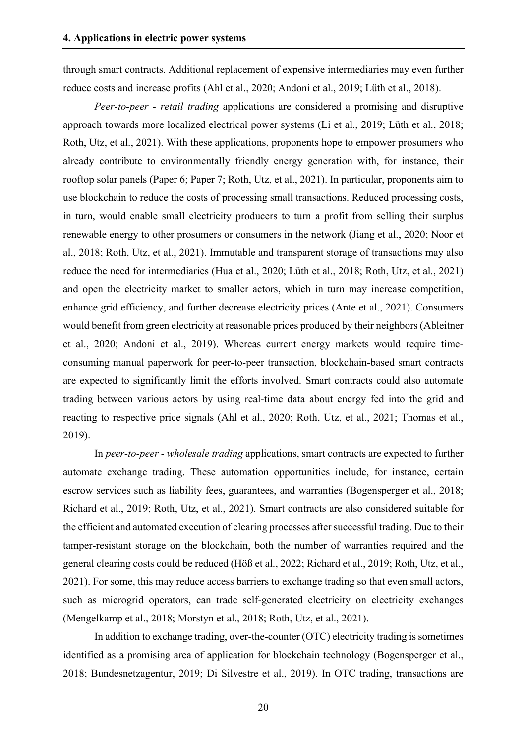through smart contracts. Additional replacement of expensive intermediaries may even further reduce costs and increase profits (Ahl et al., 2020; Andoni et al., 2019; Lüth et al., 2018).

*Peer-to-peer - retail trading* applications are considered a promising and disruptive approach towards more localized electrical power systems (Li et al., 2019; Lüth et al., 2018; Roth, Utz, et al., 2021). With these applications, proponents hope to empower prosumers who already contribute to environmentally friendly energy generation with, for instance, their rooftop solar panels (Paper 6; Paper 7; Roth, Utz, et al., 2021). In particular, proponents aim to use blockchain to reduce the costs of processing small transactions. Reduced processing costs, in turn, would enable small electricity producers to turn a profit from selling their surplus renewable energy to other prosumers or consumers in the network (Jiang et al., 2020; Noor et al., 2018; Roth, Utz, et al., 2021). Immutable and transparent storage of transactions may also reduce the need for intermediaries (Hua et al., 2020; Lüth et al., 2018; Roth, Utz, et al., 2021) and open the electricity market to smaller actors, which in turn may increase competition, enhance grid efficiency, and further decrease electricity prices (Ante et al., 2021). Consumers would benefit from green electricity at reasonable prices produced by their neighbors (Ableitner et al., 2020; Andoni et al., 2019). Whereas current energy markets would require timeconsuming manual paperwork for peer-to-peer transaction, blockchain-based smart contracts are expected to significantly limit the efforts involved. Smart contracts could also automate trading between various actors by using real-time data about energy fed into the grid and reacting to respective price signals (Ahl et al., 2020; Roth, Utz, et al., 2021; Thomas et al., 2019).

In *peer-to-peer - wholesale trading* applications, smart contracts are expected to further automate exchange trading. These automation opportunities include, for instance, certain escrow services such as liability fees, guarantees, and warranties (Bogensperger et al., 2018; Richard et al., 2019; Roth, Utz, et al., 2021). Smart contracts are also considered suitable for the efficient and automated execution of clearing processes after successful trading. Due to their tamper-resistant storage on the blockchain, both the number of warranties required and the general clearing costs could be reduced (Höß et al., 2022; Richard et al., 2019; Roth, Utz, et al., 2021). For some, this may reduce access barriers to exchange trading so that even small actors, such as microgrid operators, can trade self-generated electricity on electricity exchanges (Mengelkamp et al., 2018; Morstyn et al., 2018; Roth, Utz, et al., 2021).

In addition to exchange trading, over-the-counter (OTC) electricity trading is sometimes identified as a promising area of application for blockchain technology (Bogensperger et al., 2018; Bundesnetzagentur, 2019; Di Silvestre et al., 2019). In OTC trading, transactions are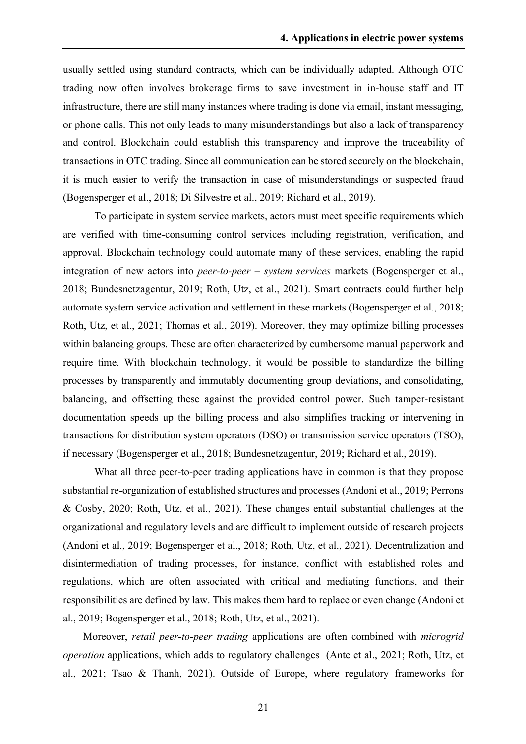usually settled using standard contracts, which can be individually adapted. Although OTC trading now often involves brokerage firms to save investment in in-house staff and IT infrastructure, there are still many instances where trading is done via email, instant messaging, or phone calls. This not only leads to many misunderstandings but also a lack of transparency and control. Blockchain could establish this transparency and improve the traceability of transactions in OTC trading. Since all communication can be stored securely on the blockchain, it is much easier to verify the transaction in case of misunderstandings or suspected fraud (Bogensperger et al., 2018; Di Silvestre et al., 2019; Richard et al., 2019).

To participate in system service markets, actors must meet specific requirements which are verified with time-consuming control services including registration, verification, and approval. Blockchain technology could automate many of these services, enabling the rapid integration of new actors into *peer-to-peer – system services* markets (Bogensperger et al., 2018; Bundesnetzagentur, 2019; Roth, Utz, et al., 2021). Smart contracts could further help automate system service activation and settlement in these markets (Bogensperger et al., 2018; Roth, Utz, et al., 2021; Thomas et al., 2019). Moreover, they may optimize billing processes within balancing groups. These are often characterized by cumbersome manual paperwork and require time. With blockchain technology, it would be possible to standardize the billing processes by transparently and immutably documenting group deviations, and consolidating, balancing, and offsetting these against the provided control power. Such tamper-resistant documentation speeds up the billing process and also simplifies tracking or intervening in transactions for distribution system operators (DSO) or transmission service operators (TSO), if necessary (Bogensperger et al., 2018; Bundesnetzagentur, 2019; Richard et al., 2019).

What all three peer-to-peer trading applications have in common is that they propose substantial re-organization of established structures and processes (Andoni et al., 2019; Perrons & Cosby, 2020; Roth, Utz, et al., 2021). These changes entail substantial challenges at the organizational and regulatory levels and are difficult to implement outside of research projects (Andoni et al., 2019; Bogensperger et al., 2018; Roth, Utz, et al., 2021). Decentralization and disintermediation of trading processes, for instance, conflict with established roles and regulations, which are often associated with critical and mediating functions, and their responsibilities are defined by law. This makes them hard to replace or even change (Andoni et al., 2019; Bogensperger et al., 2018; Roth, Utz, et al., 2021).

Moreover, *retail peer-to-peer trading* applications are often combined with *microgrid operation* applications, which adds to regulatory challenges (Ante et al., 2021; Roth, Utz, et al., 2021; Tsao & Thanh, 2021). Outside of Europe, where regulatory frameworks for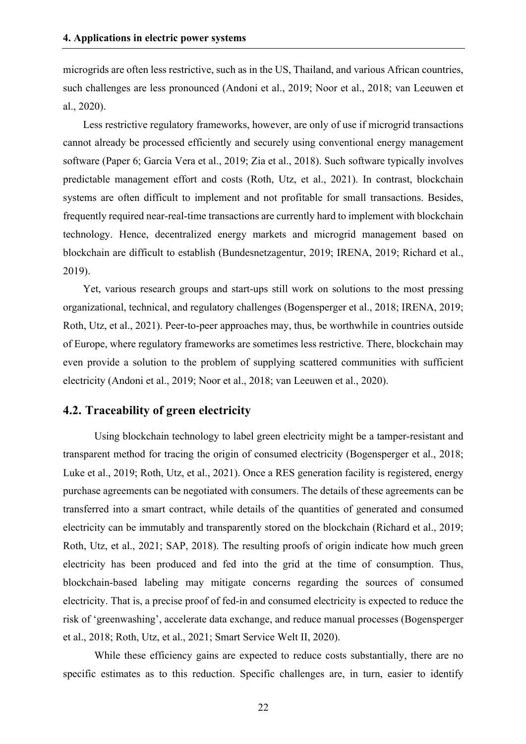microgrids are often less restrictive, such as in the US, Thailand, and various African countries, such challenges are less pronounced (Andoni et al., 2019; Noor et al., 2018; van Leeuwen et al., 2020).

Less restrictive regulatory frameworks, however, are only of use if microgrid transactions cannot already be processed efficiently and securely using conventional energy management software (Paper 6; García Vera et al., 2019; Zia et al., 2018). Such software typically involves predictable management effort and costs (Roth, Utz, et al., 2021). In contrast, blockchain systems are often difficult to implement and not profitable for small transactions. Besides, frequently required near-real-time transactions are currently hard to implement with blockchain technology. Hence, decentralized energy markets and microgrid management based on blockchain are difficult to establish (Bundesnetzagentur, 2019; IRENA, 2019; Richard et al., 2019).

Yet, various research groups and start-ups still work on solutions to the most pressing organizational, technical, and regulatory challenges (Bogensperger et al., 2018; IRENA, 2019; Roth, Utz, et al., 2021). Peer-to-peer approaches may, thus, be worthwhile in countries outside of Europe, where regulatory frameworks are sometimes less restrictive. There, blockchain may even provide a solution to the problem of supplying scattered communities with sufficient electricity (Andoni et al., 2019; Noor et al., 2018; van Leeuwen et al., 2020).

#### **4.2. Traceability of green electricity**

Using blockchain technology to label green electricity might be a tamper-resistant and transparent method for tracing the origin of consumed electricity (Bogensperger et al., 2018; Luke et al., 2019; Roth, Utz, et al., 2021). Once a RES generation facility is registered, energy purchase agreements can be negotiated with consumers. The details of these agreements can be transferred into a smart contract, while details of the quantities of generated and consumed electricity can be immutably and transparently stored on the blockchain (Richard et al., 2019; Roth, Utz, et al., 2021; SAP, 2018). The resulting proofs of origin indicate how much green electricity has been produced and fed into the grid at the time of consumption. Thus, blockchain-based labeling may mitigate concerns regarding the sources of consumed electricity. That is, a precise proof of fed-in and consumed electricity is expected to reduce the risk of 'greenwashing', accelerate data exchange, and reduce manual processes (Bogensperger et al., 2018; Roth, Utz, et al., 2021; Smart Service Welt II, 2020).

While these efficiency gains are expected to reduce costs substantially, there are no specific estimates as to this reduction. Specific challenges are, in turn, easier to identify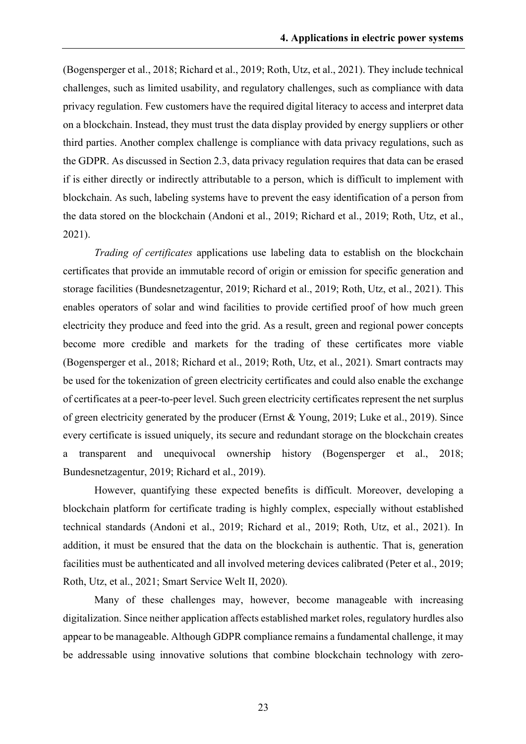(Bogensperger et al., 2018; Richard et al., 2019; Roth, Utz, et al., 2021). They include technical challenges, such as limited usability, and regulatory challenges, such as compliance with data privacy regulation. Few customers have the required digital literacy to access and interpret data on a blockchain. Instead, they must trust the data display provided by energy suppliers or other third parties. Another complex challenge is compliance with data privacy regulations, such as the GDPR. As discussed in Section 2.3, data privacy regulation requires that data can be erased if is either directly or indirectly attributable to a person, which is difficult to implement with blockchain. As such, labeling systems have to prevent the easy identification of a person from the data stored on the blockchain (Andoni et al., 2019; Richard et al., 2019; Roth, Utz, et al., 2021).

*Trading of certificates* applications use labeling data to establish on the blockchain certificates that provide an immutable record of origin or emission for specific generation and storage facilities (Bundesnetzagentur, 2019; Richard et al., 2019; Roth, Utz, et al., 2021). This enables operators of solar and wind facilities to provide certified proof of how much green electricity they produce and feed into the grid. As a result, green and regional power concepts become more credible and markets for the trading of these certificates more viable (Bogensperger et al., 2018; Richard et al., 2019; Roth, Utz, et al., 2021). Smart contracts may be used for the tokenization of green electricity certificates and could also enable the exchange of certificates at a peer-to-peer level. Such green electricity certificates represent the net surplus of green electricity generated by the producer (Ernst & Young, 2019; Luke et al., 2019). Since every certificate is issued uniquely, its secure and redundant storage on the blockchain creates a transparent and unequivocal ownership history (Bogensperger et al., 2018; Bundesnetzagentur, 2019; Richard et al., 2019).

However, quantifying these expected benefits is difficult. Moreover, developing a blockchain platform for certificate trading is highly complex, especially without established technical standards (Andoni et al., 2019; Richard et al., 2019; Roth, Utz, et al., 2021). In addition, it must be ensured that the data on the blockchain is authentic. That is, generation facilities must be authenticated and all involved metering devices calibrated (Peter et al., 2019; Roth, Utz, et al., 2021; Smart Service Welt II, 2020).

Many of these challenges may, however, become manageable with increasing digitalization. Since neither application affects established market roles, regulatory hurdles also appear to be manageable. Although GDPR compliance remains a fundamental challenge, it may be addressable using innovative solutions that combine blockchain technology with zero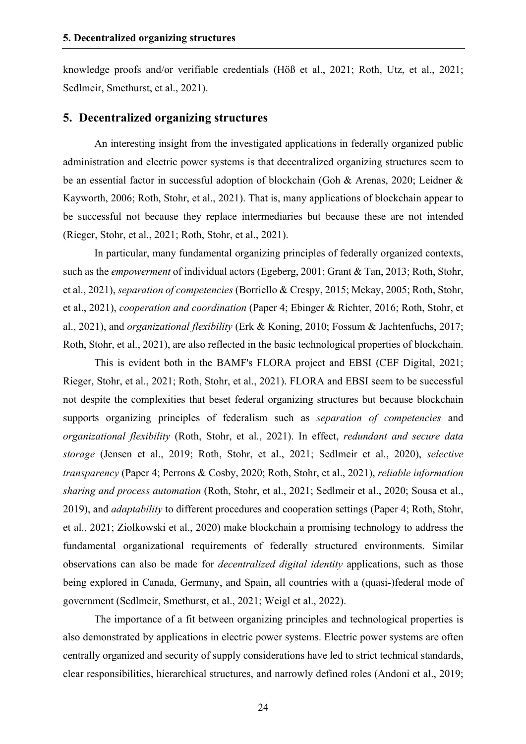knowledge proofs and/or verifiable credentials (Höß et al., 2021; Roth, Utz, et al., 2021; Sedlmeir, Smethurst, et al., 2021).

#### **5. Decentralized organizing structures**

An interesting insight from the investigated applications in federally organized public administration and electric power systems is that decentralized organizing structures seem to be an essential factor in successful adoption of blockchain (Goh & Arenas, 2020; Leidner & Kayworth, 2006; Roth, Stohr, et al., 2021). That is, many applications of blockchain appear to be successful not because they replace intermediaries but because these are not intended (Rieger, Stohr, et al., 2021; Roth, Stohr, et al., 2021).

In particular, many fundamental organizing principles of federally organized contexts, such as the *empowerment* of individual actors (Egeberg, 2001; Grant & Tan, 2013; Roth, Stohr, et al., 2021), *separation of competencies* (Borriello & Crespy, 2015; Mckay, 2005; Roth, Stohr, et al., 2021), *cooperation and coordination* (Paper 4; Ebinger & Richter, 2016; Roth, Stohr, et al., 2021), and *organizational flexibility* (Erk & Koning, 2010; Fossum & Jachtenfuchs, 2017; Roth, Stohr, et al., 2021), are also reflected in the basic technological properties of blockchain.

This is evident both in the BAMF's FLORA project and EBSI (CEF Digital, 2021; Rieger, Stohr, et al., 2021; Roth, Stohr, et al., 2021). FLORA and EBSI seem to be successful not despite the complexities that beset federal organizing structures but because blockchain supports organizing principles of federalism such as *separation of competencies* and *organizational flexibility* (Roth, Stohr, et al., 2021). In effect, *redundant and secure data storage* (Jensen et al., 2019; Roth, Stohr, et al., 2021; Sedlmeir et al., 2020), *selective transparency* (Paper 4; Perrons & Cosby, 2020; Roth, Stohr, et al., 2021), *reliable information sharing and process automation* (Roth, Stohr, et al., 2021; Sedlmeir et al., 2020; Sousa et al., 2019), and *adaptability* to different procedures and cooperation settings (Paper 4; Roth, Stohr, et al., 2021; Ziolkowski et al., 2020) make blockchain a promising technology to address the fundamental organizational requirements of federally structured environments. Similar observations can also be made for *decentralized digital identity* applications, such as those being explored in Canada, Germany, and Spain, all countries with a (quasi-)federal mode of government (Sedlmeir, Smethurst, et al., 2021; Weigl et al., 2022).

The importance of a fit between organizing principles and technological properties is also demonstrated by applications in electric power systems. Electric power systems are often centrally organized and security of supply considerations have led to strict technical standards, clear responsibilities, hierarchical structures, and narrowly defined roles (Andoni et al., 2019;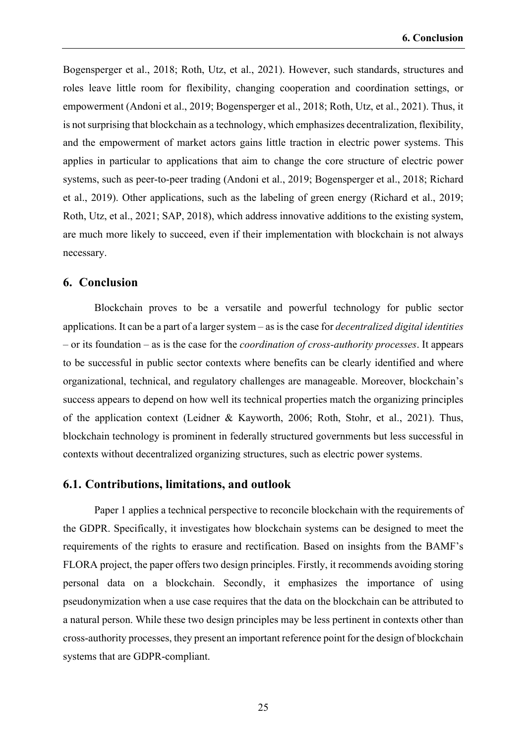Bogensperger et al., 2018; Roth, Utz, et al., 2021). However, such standards, structures and roles leave little room for flexibility, changing cooperation and coordination settings, or empowerment (Andoni et al., 2019; Bogensperger et al., 2018; Roth, Utz, et al., 2021). Thus, it is not surprising that blockchain as a technology, which emphasizes decentralization, flexibility, and the empowerment of market actors gains little traction in electric power systems. This applies in particular to applications that aim to change the core structure of electric power systems, such as peer-to-peer trading (Andoni et al., 2019; Bogensperger et al., 2018; Richard et al., 2019). Other applications, such as the labeling of green energy (Richard et al., 2019; Roth, Utz, et al., 2021; SAP, 2018), which address innovative additions to the existing system, are much more likely to succeed, even if their implementation with blockchain is not always necessary.

#### **6. Conclusion**

Blockchain proves to be a versatile and powerful technology for public sector applications. It can be a part of a larger system – as is the case for *decentralized digital identities* – or its foundation – as is the case for the *coordination of cross-authority processes*. It appears to be successful in public sector contexts where benefits can be clearly identified and where organizational, technical, and regulatory challenges are manageable. Moreover, blockchain's success appears to depend on how well its technical properties match the organizing principles of the application context (Leidner & Kayworth, 2006; Roth, Stohr, et al., 2021). Thus, blockchain technology is prominent in federally structured governments but less successful in contexts without decentralized organizing structures, such as electric power systems.

#### **6.1. Contributions, limitations, and outlook**

Paper 1 applies a technical perspective to reconcile blockchain with the requirements of the GDPR. Specifically, it investigates how blockchain systems can be designed to meet the requirements of the rights to erasure and rectification. Based on insights from the BAMF's FLORA project, the paper offers two design principles. Firstly, it recommends avoiding storing personal data on a blockchain. Secondly, it emphasizes the importance of using pseudonymization when a use case requires that the data on the blockchain can be attributed to a natural person. While these two design principles may be less pertinent in contexts other than cross-authority processes, they present an important reference point for the design of blockchain systems that are GDPR-compliant.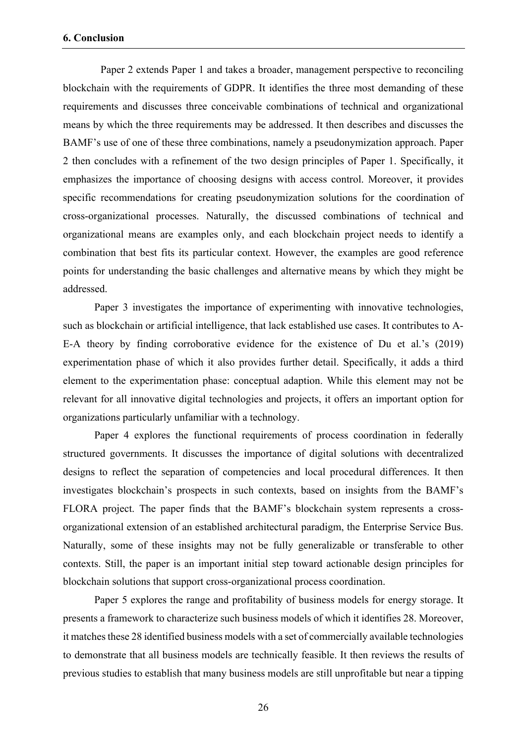Paper 2 extends Paper 1 and takes a broader, management perspective to reconciling blockchain with the requirements of GDPR. It identifies the three most demanding of these requirements and discusses three conceivable combinations of technical and organizational means by which the three requirements may be addressed. It then describes and discusses the BAMF's use of one of these three combinations, namely a pseudonymization approach. Paper 2 then concludes with a refinement of the two design principles of Paper 1. Specifically, it emphasizes the importance of choosing designs with access control. Moreover, it provides specific recommendations for creating pseudonymization solutions for the coordination of cross-organizational processes. Naturally, the discussed combinations of technical and organizational means are examples only, and each blockchain project needs to identify a combination that best fits its particular context. However, the examples are good reference points for understanding the basic challenges and alternative means by which they might be addressed.

Paper 3 investigates the importance of experimenting with innovative technologies, such as blockchain or artificial intelligence, that lack established use cases. It contributes to A-E-A theory by finding corroborative evidence for the existence of Du et al.'s (2019) experimentation phase of which it also provides further detail. Specifically, it adds a third element to the experimentation phase: conceptual adaption. While this element may not be relevant for all innovative digital technologies and projects, it offers an important option for organizations particularly unfamiliar with a technology.

Paper 4 explores the functional requirements of process coordination in federally structured governments. It discusses the importance of digital solutions with decentralized designs to reflect the separation of competencies and local procedural differences. It then investigates blockchain's prospects in such contexts, based on insights from the BAMF's FLORA project. The paper finds that the BAMF's blockchain system represents a crossorganizational extension of an established architectural paradigm, the Enterprise Service Bus. Naturally, some of these insights may not be fully generalizable or transferable to other contexts. Still, the paper is an important initial step toward actionable design principles for blockchain solutions that support cross-organizational process coordination.

Paper 5 explores the range and profitability of business models for energy storage. It presents a framework to characterize such business models of which it identifies 28. Moreover, it matches these 28 identified business models with a set of commercially available technologies to demonstrate that all business models are technically feasible. It then reviews the results of previous studies to establish that many business models are still unprofitable but near a tipping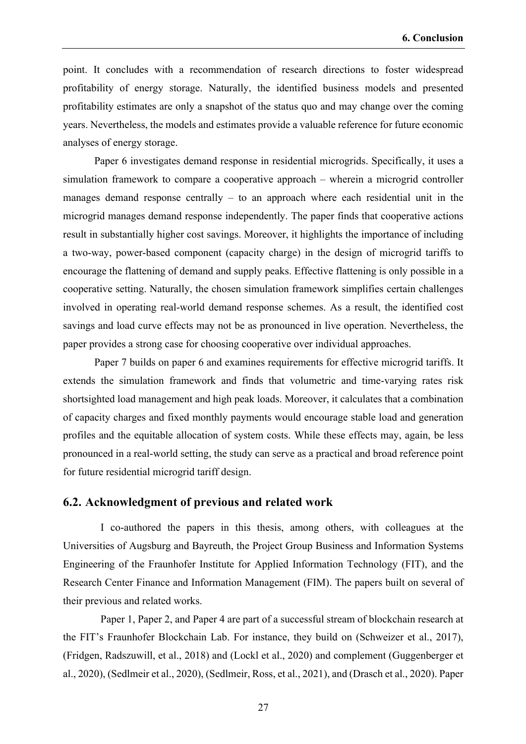point. It concludes with a recommendation of research directions to foster widespread profitability of energy storage. Naturally, the identified business models and presented profitability estimates are only a snapshot of the status quo and may change over the coming years. Nevertheless, the models and estimates provide a valuable reference for future economic analyses of energy storage.

Paper 6 investigates demand response in residential microgrids. Specifically, it uses a simulation framework to compare a cooperative approach – wherein a microgrid controller manages demand response centrally – to an approach where each residential unit in the microgrid manages demand response independently. The paper finds that cooperative actions result in substantially higher cost savings. Moreover, it highlights the importance of including a two-way, power-based component (capacity charge) in the design of microgrid tariffs to encourage the flattening of demand and supply peaks. Effective flattening is only possible in a cooperative setting. Naturally, the chosen simulation framework simplifies certain challenges involved in operating real-world demand response schemes. As a result, the identified cost savings and load curve effects may not be as pronounced in live operation. Nevertheless, the paper provides a strong case for choosing cooperative over individual approaches.

Paper 7 builds on paper 6 and examines requirements for effective microgrid tariffs. It extends the simulation framework and finds that volumetric and time-varying rates risk shortsighted load management and high peak loads. Moreover, it calculates that a combination of capacity charges and fixed monthly payments would encourage stable load and generation profiles and the equitable allocation of system costs. While these effects may, again, be less pronounced in a real-world setting, the study can serve as a practical and broad reference point for future residential microgrid tariff design.

#### **6.2. Acknowledgment of previous and related work**

I co-authored the papers in this thesis, among others, with colleagues at the Universities of Augsburg and Bayreuth, the Project Group Business and Information Systems Engineering of the Fraunhofer Institute for Applied Information Technology (FIT), and the Research Center Finance and Information Management (FIM). The papers built on several of their previous and related works.

Paper 1, Paper 2, and Paper 4 are part of a successful stream of blockchain research at the FIT's Fraunhofer Blockchain Lab. For instance, they build on (Schweizer et al., 2017), (Fridgen, Radszuwill, et al., 2018) and (Lockl et al., 2020) and complement (Guggenberger et al., 2020), (Sedlmeir et al., 2020), (Sedlmeir, Ross, et al., 2021), and (Drasch et al., 2020). Paper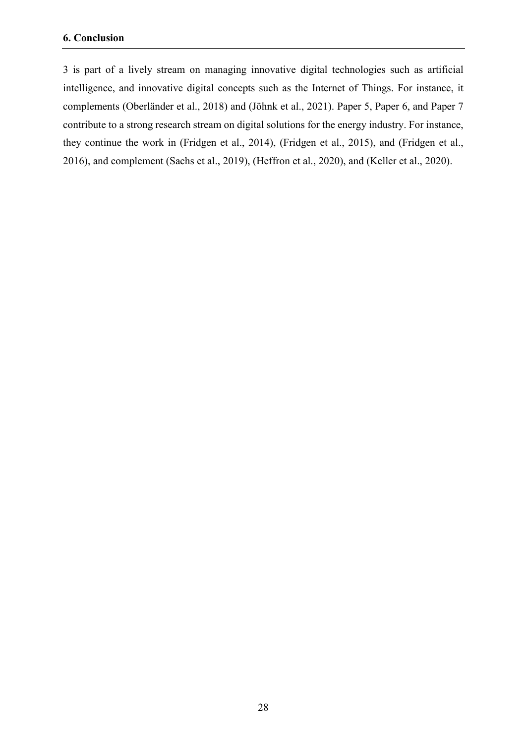3 is part of a lively stream on managing innovative digital technologies such as artificial intelligence, and innovative digital concepts such as the Internet of Things. For instance, it complements (Oberländer et al., 2018) and (Jöhnk et al., 2021). Paper 5, Paper 6, and Paper 7 contribute to a strong research stream on digital solutions for the energy industry. For instance, they continue the work in (Fridgen et al., 2014), (Fridgen et al., 2015), and (Fridgen et al., 2016), and complement (Sachs et al., 2019), (Heffron et al., 2020), and (Keller et al., 2020).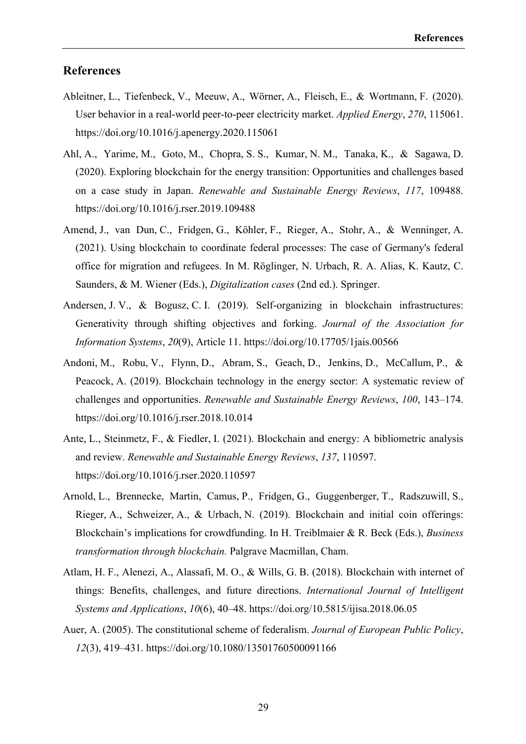#### **References**

- Ableitner, L., Tiefenbeck, V., Meeuw, A., Wörner, A., Fleisch, E., & Wortmann, F. (2020). User behavior in a real-world peer-to-peer electricity market. *Applied Energy*, *270*, 115061. https://doi.org/10.1016/j.apenergy.2020.115061
- Ahl, A., Yarime, M., Goto, M., Chopra, S. S., Kumar, N. M., Tanaka, K., & Sagawa, D. (2020). Exploring blockchain for the energy transition: Opportunities and challenges based on a case study in Japan. *Renewable and Sustainable Energy Reviews*, *117*, 109488. https://doi.org/10.1016/j.rser.2019.109488
- Amend, J., van Dun, C., Fridgen, G., Köhler, F., Rieger, A., Stohr, A., & Wenninger, A. (2021). Using blockchain to coordinate federal processes: The case of Germany's federal office for migration and refugees. In M. Röglinger, N. Urbach, R. A. Alias, K. Kautz, C. Saunders, & M. Wiener (Eds.), *Digitalization cases* (2nd ed.). Springer.
- Andersen, J. V., & Bogusz, C. I. (2019). Self-organizing in blockchain infrastructures: Generativity through shifting objectives and forking. *Journal of the Association for Information Systems*, *20*(9), Article 11. https://doi.org/10.17705/1jais.00566
- Andoni, M., Robu, V., Flynn, D., Abram, S., Geach, D., Jenkins, D., McCallum, P., & Peacock, A. (2019). Blockchain technology in the energy sector: A systematic review of challenges and opportunities. *Renewable and Sustainable Energy Reviews*, *100*, 143–174. https://doi.org/10.1016/j.rser.2018.10.014
- Ante, L., Steinmetz, F., & Fiedler, I. (2021). Blockchain and energy: A bibliometric analysis and review. *Renewable and Sustainable Energy Reviews*, *137*, 110597. https://doi.org/10.1016/j.rser.2020.110597
- Arnold, L., Brennecke, Martin, Camus, P., Fridgen, G., Guggenberger, T., Radszuwill, S., Rieger, A., Schweizer, A., & Urbach, N. (2019). Blockchain and initial coin offerings: Blockchain's implications for crowdfunding. In H. Treiblmaier & R. Beck (Eds.), *Business transformation through blockchain.* Palgrave Macmillan, Cham.
- Atlam, H. F., Alenezi, A., Alassafi, M. O., & Wills, G. B. (2018). Blockchain with internet of things: Benefits, challenges, and future directions. *International Journal of Intelligent Systems and Applications*, *10*(6), 40–48. https://doi.org/10.5815/ijisa.2018.06.05
- Auer, A. (2005). The constitutional scheme of federalism. *Journal of European Public Policy*, *12*(3), 419–431. https://doi.org/10.1080/13501760500091166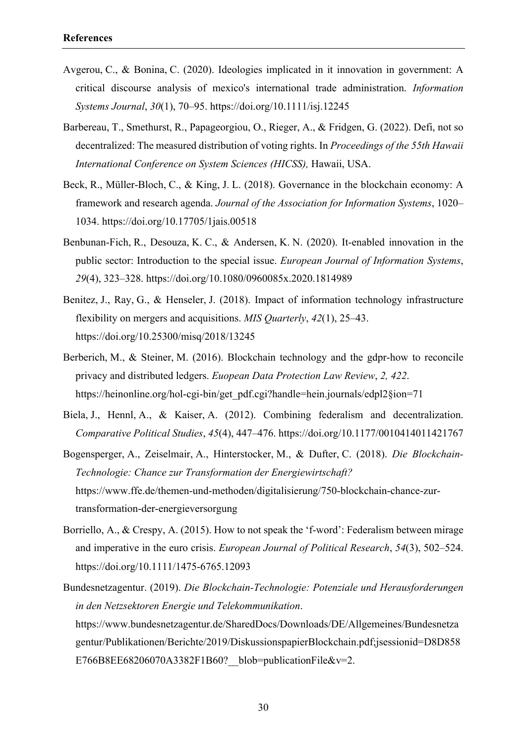- Avgerou, C., & Bonina, C. (2020). Ideologies implicated in it innovation in government: A critical discourse analysis of mexico's international trade administration. *Information Systems Journal*, *30*(1), 70–95. https://doi.org/10.1111/isj.12245
- Barbereau, T., Smethurst, R., Papageorgiou, O., Rieger, A., & Fridgen, G. (2022). Defi, not so decentralized: The measured distribution of voting rights. In *Proceedings of the 55th Hawaii International Conference on System Sciences (HICSS),* Hawaii, USA.
- Beck, R., Müller-Bloch, C., & King, J. L. (2018). Governance in the blockchain economy: A framework and research agenda. *Journal of the Association for Information Systems*, 1020– 1034. https://doi.org/10.17705/1jais.00518
- Benbunan-Fich, R., Desouza, K. C., & Andersen, K. N. (2020). It-enabled innovation in the public sector: Introduction to the special issue. *European Journal of Information Systems*, *29*(4), 323–328. https://doi.org/10.1080/0960085x.2020.1814989
- Benitez, J., Ray, G., & Henseler, J. (2018). Impact of information technology infrastructure flexibility on mergers and acquisitions. *MIS Quarterly*, *42*(1), 25–43. https://doi.org/10.25300/misq/2018/13245
- Berberich, M., & Steiner, M. (2016). Blockchain technology and the gdpr-how to reconcile privacy and distributed ledgers. *Euopean Data Protection Law Review*, *2, 422*. https://heinonline.org/hol-cgi-bin/get\_pdf.cgi?handle=hein.journals/edpl2§ion=71
- Biela, J., Hennl, A., & Kaiser, A. (2012). Combining federalism and decentralization. *Comparative Political Studies*, *45*(4), 447–476. https://doi.org/10.1177/0010414011421767
- Bogensperger, A., Zeiselmair, A., Hinterstocker, M., & Dufter, C. (2018). *Die Blockchain-Technologie: Chance zur Transformation der Energiewirtschaft?* https://www.ffe.de/themen-und-methoden/digitalisierung/750-blockchain-chance-zurtransformation-der-energieversorgung
- Borriello, A., & Crespy, A. (2015). How to not speak the 'f-word': Federalism between mirage and imperative in the euro crisis. *European Journal of Political Research*, *54*(3), 502–524. https://doi.org/10.1111/1475-6765.12093
- Bundesnetzagentur. (2019). *Die Blockchain-Technologie: Potenziale und Herausforderungen in den Netzsektoren Energie und Telekommunikation*. https://www.bundesnetzagentur.de/SharedDocs/Downloads/DE/Allgemeines/Bundesnetza gentur/Publikationen/Berichte/2019/DiskussionspapierBlockchain.pdf;jsessionid=D8D858 E766B8EE68206070A3382F1B60? blob=publicationFile&v=2.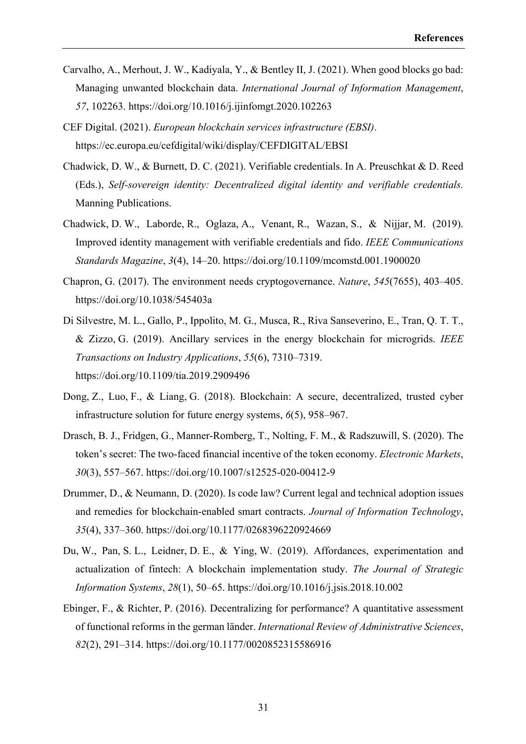- Carvalho, A., Merhout, J. W., Kadiyala, Y., & Bentley II, J. (2021). When good blocks go bad: Managing unwanted blockchain data. *International Journal of Information Management*, *57*, 102263. https://doi.org/10.1016/j.ijinfomgt.2020.102263
- CEF Digital. (2021). *European blockchain services infrastructure (EBSI)*. https://ec.europa.eu/cefdigital/wiki/display/CEFDIGITAL/EBSI
- Chadwick, D. W., & Burnett, D. C. (2021). Verifiable credentials. In A. Preuschkat & D. Reed (Eds.), *Self-sovereign identity: Decentralized digital identity and verifiable credentials.* Manning Publications.
- Chadwick, D. W., Laborde, R., Oglaza, A., Venant, R., Wazan, S., & Nijjar, M. (2019). Improved identity management with verifiable credentials and fido. *IEEE Communications Standards Magazine*, *3*(4), 14–20. https://doi.org/10.1109/mcomstd.001.1900020
- Chapron, G. (2017). The environment needs cryptogovernance. *Nature*, *545*(7655), 403–405. https://doi.org/10.1038/545403a
- Di Silvestre, M. L., Gallo, P., Ippolito, M. G., Musca, R., Riva Sanseverino, E., Tran, Q. T. T., & Zizzo, G. (2019). Ancillary services in the energy blockchain for microgrids. *IEEE Transactions on Industry Applications*, *55*(6), 7310–7319. https://doi.org/10.1109/tia.2019.2909496
- Dong, Z., Luo, F., & Liang, G. (2018). Blockchain: A secure, decentralized, trusted cyber infrastructure solution for future energy systems, *6*(5), 958–967.
- Drasch, B. J., Fridgen, G., Manner-Romberg, T., Nolting, F. M., & Radszuwill, S. (2020). The token's secret: The two-faced financial incentive of the token economy. *Electronic Markets*, *30*(3), 557–567. https://doi.org/10.1007/s12525-020-00412-9
- Drummer, D., & Neumann, D. (2020). Is code law? Current legal and technical adoption issues and remedies for blockchain-enabled smart contracts. *Journal of Information Technology*, *35*(4), 337–360. https://doi.org/10.1177/0268396220924669
- Du, W., Pan, S. L., Leidner, D. E., & Ying, W. (2019). Affordances, experimentation and actualization of fintech: A blockchain implementation study. *The Journal of Strategic Information Systems*, *28*(1), 50–65. https://doi.org/10.1016/j.jsis.2018.10.002
- Ebinger, F., & Richter, P. (2016). Decentralizing for performance? A quantitative assessment of functional reforms in the german länder. *International Review of Administrative Sciences*, *82*(2), 291–314. https://doi.org/10.1177/0020852315586916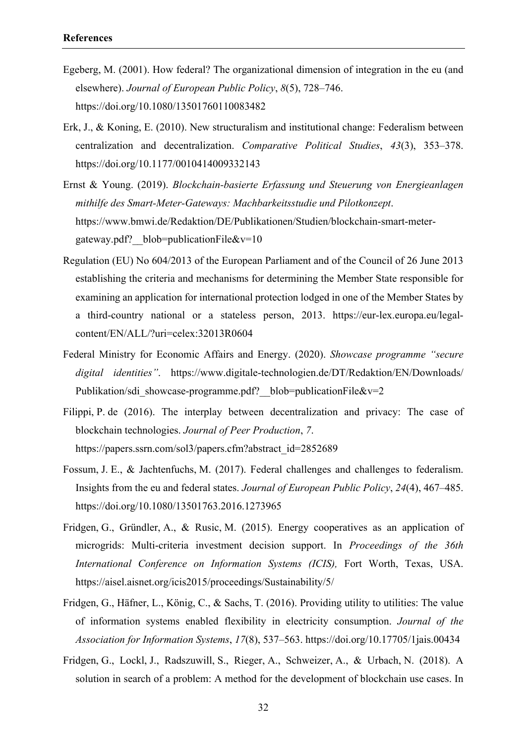- Egeberg, M. (2001). How federal? The organizational dimension of integration in the eu (and elsewhere). *Journal of European Public Policy*, *8*(5), 728–746. https://doi.org/10.1080/13501760110083482
- Erk, J., & Koning, E. (2010). New structuralism and institutional change: Federalism between centralization and decentralization. *Comparative Political Studies*, *43*(3), 353–378. https://doi.org/10.1177/0010414009332143
- Ernst & Young. (2019). *Blockchain-basierte Erfassung und Steuerung von Energieanlagen mithilfe des Smart-Meter-Gateways: Machbarkeitsstudie und Pilotkonzept*. https://www.bmwi.de/Redaktion/DE/Publikationen/Studien/blockchain-smart-metergateway.pdf? blob=publicationFile&v=10
- Regulation (EU) No 604/2013 of the European Parliament and of the Council of 26 June 2013 establishing the criteria and mechanisms for determining the Member State responsible for examining an application for international protection lodged in one of the Member States by a third-country national or a stateless person, 2013. https://eur-lex.europa.eu/legalcontent/EN/ALL/?uri=celex:32013R0604
- Federal Ministry for Economic Affairs and Energy. (2020). *Showcase programme "secure digital identities"*. https://www.digitale-technologien.de/DT/Redaktion/EN/Downloads/ Publikation/sdi\_showcase-programme.pdf? blob=publicationFile&v=2
- Filippi, P. de (2016). The interplay between decentralization and privacy: The case of blockchain technologies. *Journal of Peer Production*, *7*. https://papers.ssrn.com/sol3/papers.cfm?abstract\_id=2852689
- Fossum, J. E., & Jachtenfuchs, M. (2017). Federal challenges and challenges to federalism. Insights from the eu and federal states. *Journal of European Public Policy*, *24*(4), 467–485. https://doi.org/10.1080/13501763.2016.1273965
- Fridgen, G., Gründler, A., & Rusic, M. (2015). Energy cooperatives as an application of microgrids: Multi-criteria investment decision support. In *Proceedings of the 36th International Conference on Information Systems (ICIS),* Fort Worth, Texas, USA. https://aisel.aisnet.org/icis2015/proceedings/Sustainability/5/
- Fridgen, G., Häfner, L., König, C., & Sachs, T. (2016). Providing utility to utilities: The value of information systems enabled flexibility in electricity consumption. *Journal of the Association for Information Systems*, *17*(8), 537–563. https://doi.org/10.17705/1jais.00434
- Fridgen, G., Lockl, J., Radszuwill, S., Rieger, A., Schweizer, A., & Urbach, N. (2018). A solution in search of a problem: A method for the development of blockchain use cases. In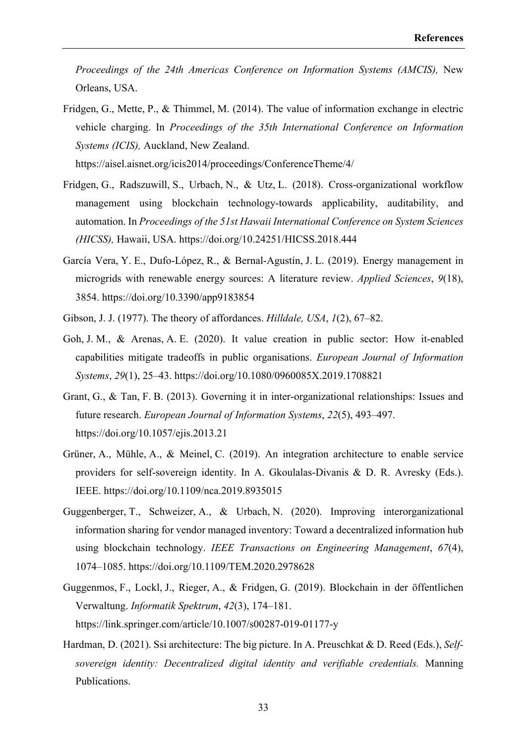*Proceedings of the 24th Americas Conference on Information Systems (AMCIS),* New Orleans, USA.

Fridgen, G., Mette, P., & Thimmel, M. (2014). The value of information exchange in electric vehicle charging. In *Proceedings of the 35th International Conference on Information Systems (ICIS),* Auckland, New Zealand.

https://aisel.aisnet.org/icis2014/proceedings/ConferenceTheme/4/

- Fridgen, G., Radszuwill, S., Urbach, N., & Utz, L. (2018). Cross-organizational workflow management using blockchain technology-towards applicability, auditability, and automation. In *Proceedings of the 51st Hawaii International Conference on System Sciences (HICSS),* Hawaii, USA. https://doi.org/10.24251/HICSS.2018.444
- García Vera, Y. E., Dufo-López, R., & Bernal-Agustín, J. L. (2019). Energy management in microgrids with renewable energy sources: A literature review. *Applied Sciences*, *9*(18), 3854. https://doi.org/10.3390/app9183854
- Gibson, J. J. (1977). The theory of affordances. *Hilldale, USA*, *1*(2), 67–82.
- Goh, J. M., & Arenas, A. E. (2020). It value creation in public sector: How it-enabled capabilities mitigate tradeoffs in public organisations. *European Journal of Information Systems*, *29*(1), 25–43. https://doi.org/10.1080/0960085X.2019.1708821
- Grant, G., & Tan, F. B. (2013). Governing it in inter-organizational relationships: Issues and future research. *European Journal of Information Systems*, *22*(5), 493–497. https://doi.org/10.1057/ejis.2013.21
- Grüner, A., Mühle, A., & Meinel, C. (2019). An integration architecture to enable service providers for self-sovereign identity. In A. Gkoulalas-Divanis & D. R. Avresky (Eds.). IEEE. https://doi.org/10.1109/nca.2019.8935015
- Guggenberger, T., Schweizer, A., & Urbach, N. (2020). Improving interorganizational information sharing for vendor managed inventory: Toward a decentralized information hub using blockchain technology. *IEEE Transactions on Engineering Management*, *67*(4), 1074–1085. https://doi.org/10.1109/TEM.2020.2978628
- Guggenmos, F., Lockl, J., Rieger, A., & Fridgen, G. (2019). Blockchain in der öffentlichen Verwaltung. *Informatik Spektrum*, *42*(3), 174–181. https://link.springer.com/article/10.1007/s00287-019-01177-y
- Hardman, D. (2021). Ssi architecture: The big picture. In A. Preuschkat & D. Reed (Eds.), *Selfsovereign identity: Decentralized digital identity and verifiable credentials.* Manning Publications.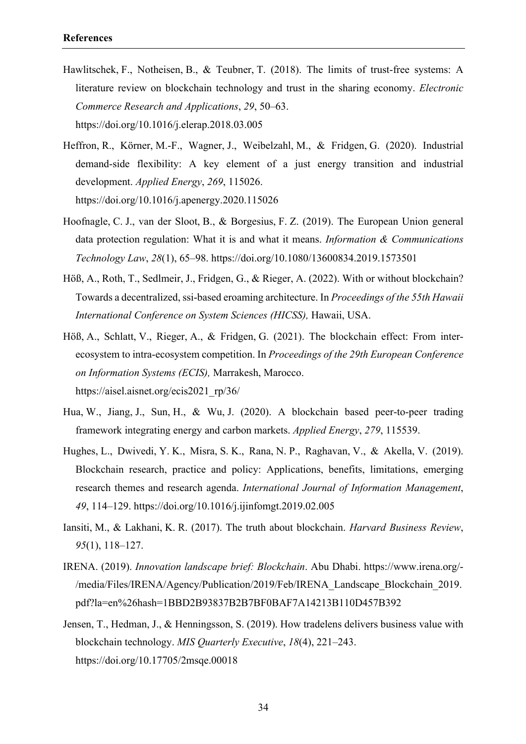- Hawlitschek, F., Notheisen, B., & Teubner, T. (2018). The limits of trust-free systems: A literature review on blockchain technology and trust in the sharing economy. *Electronic Commerce Research and Applications*, *29*, 50–63. https://doi.org/10.1016/j.elerap.2018.03.005
- Heffron, R., Körner, M.‑F., Wagner, J., Weibelzahl, M., & Fridgen, G. (2020). Industrial demand-side flexibility: A key element of a just energy transition and industrial development. *Applied Energy*, *269*, 115026. https://doi.org/10.1016/j.apenergy.2020.115026
- Hoofnagle, C. J., van der Sloot, B., & Borgesius, F. Z. (2019). The European Union general data protection regulation: What it is and what it means. *Information & Communications Technology Law*, *28*(1), 65–98. https://doi.org/10.1080/13600834.2019.1573501
- Höß, A., Roth, T., Sedlmeir, J., Fridgen, G., & Rieger, A. (2022). With or without blockchain? Towards a decentralized, ssi-based eroaming architecture. In *Proceedings of the 55th Hawaii International Conference on System Sciences (HICSS),* Hawaii, USA.
- Höß, A., Schlatt, V., Rieger, A., & Fridgen, G. (2021). The blockchain effect: From interecosystem to intra-ecosystem competition. In *Proceedings of the 29th European Conference on Information Systems (ECIS),* Marrakesh, Marocco. https://aisel.aisnet.org/ecis2021\_rp/36/
- Hua, W., Jiang, J., Sun, H., & Wu, J. (2020). A blockchain based peer-to-peer trading framework integrating energy and carbon markets. *Applied Energy*, *279*, 115539.
- Hughes, L., Dwivedi, Y. K., Misra, S. K., Rana, N. P., Raghavan, V., & Akella, V. (2019). Blockchain research, practice and policy: Applications, benefits, limitations, emerging research themes and research agenda. *International Journal of Information Management*, *49*, 114–129. https://doi.org/10.1016/j.ijinfomgt.2019.02.005
- Iansiti, M., & Lakhani, K. R. (2017). The truth about blockchain. *Harvard Business Review*, *95*(1), 118–127.
- IRENA. (2019). *Innovation landscape brief: Blockchain*. Abu Dhabi. https://www.irena.org/- /media/Files/IRENA/Agency/Publication/2019/Feb/IRENA\_Landscape\_Blockchain\_2019. pdf?la=en%26hash=1BBD2B93837B2B7BF0BAF7A14213B110D457B392
- Jensen, T., Hedman, J., & Henningsson, S. (2019). How tradelens delivers business value with blockchain technology. *MIS Quarterly Executive*, *18*(4), 221–243. https://doi.org/10.17705/2msqe.00018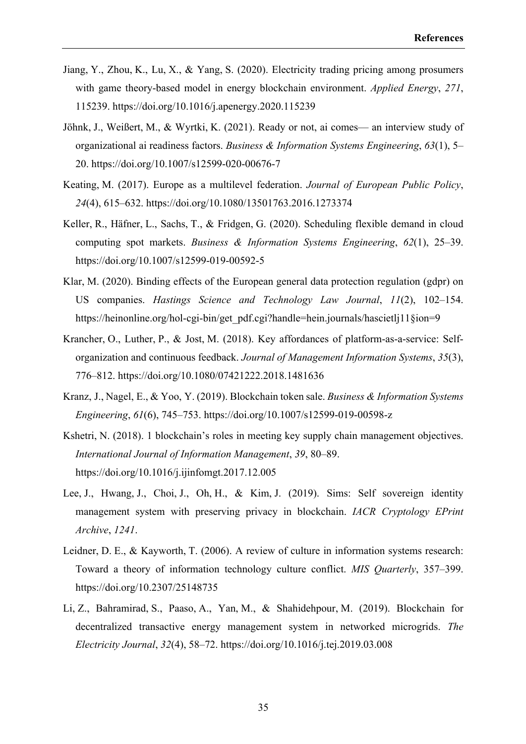- Jiang, Y., Zhou, K., Lu, X., & Yang, S. (2020). Electricity trading pricing among prosumers with game theory-based model in energy blockchain environment. *Applied Energy*, *271*, 115239. https://doi.org/10.1016/j.apenergy.2020.115239
- Jöhnk, J., Weißert, M., & Wyrtki, K. (2021). Ready or not, ai comes— an interview study of organizational ai readiness factors. *Business & Information Systems Engineering*, *63*(1), 5– 20. https://doi.org/10.1007/s12599-020-00676-7
- Keating, M. (2017). Europe as a multilevel federation. *Journal of European Public Policy*, *24*(4), 615–632. https://doi.org/10.1080/13501763.2016.1273374
- Keller, R., Häfner, L., Sachs, T., & Fridgen, G. (2020). Scheduling flexible demand in cloud computing spot markets. *Business & Information Systems Engineering*, *62*(1), 25–39. https://doi.org/10.1007/s12599-019-00592-5
- Klar, M. (2020). Binding effects of the European general data protection regulation (gdpr) on US companies. *Hastings Science and Technology Law Journal*, *11*(2), 102–154. https://heinonline.org/hol-cgi-bin/get\_pdf.cgi?handle=hein.journals/hascietlj11§ion=9
- Krancher, O., Luther, P., & Jost, M. (2018). Key affordances of platform-as-a-service: Selforganization and continuous feedback. *Journal of Management Information Systems*, *35*(3), 776–812. https://doi.org/10.1080/07421222.2018.1481636
- Kranz, J., Nagel, E., & Yoo, Y. (2019). Blockchain token sale. *Business & Information Systems Engineering*, *61*(6), 745–753. https://doi.org/10.1007/s12599-019-00598-z
- Kshetri, N. (2018). 1 blockchain's roles in meeting key supply chain management objectives. *International Journal of Information Management*, *39*, 80–89. https://doi.org/10.1016/j.ijinfomgt.2017.12.005
- Lee, J., Hwang, J., Choi, J., Oh, H., & Kim, J. (2019). Sims: Self sovereign identity management system with preserving privacy in blockchain. *IACR Cryptology EPrint Archive*, *1241*.
- Leidner, D. E., & Kayworth, T. (2006). A review of culture in information systems research: Toward a theory of information technology culture conflict. *MIS Quarterly*, 357–399. https://doi.org/10.2307/25148735
- Li, Z., Bahramirad, S., Paaso, A., Yan, M., & Shahidehpour, M. (2019). Blockchain for decentralized transactive energy management system in networked microgrids. *The Electricity Journal*, *32*(4), 58–72. https://doi.org/10.1016/j.tej.2019.03.008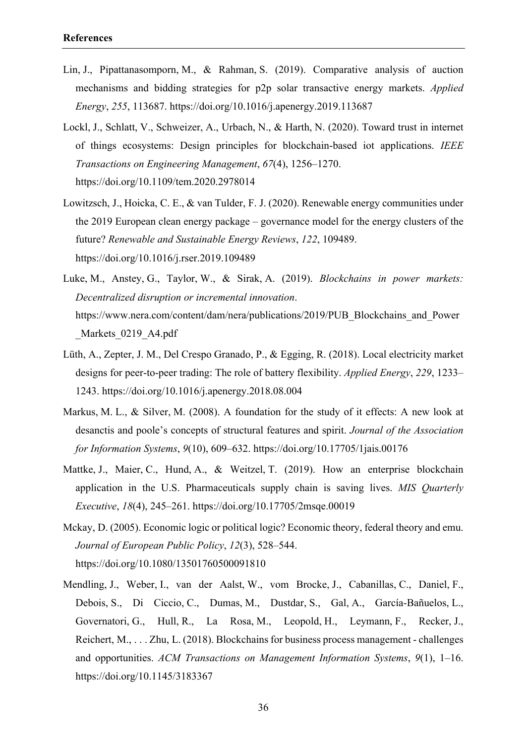- Lin, J., Pipattanasomporn, M., & Rahman, S. (2019). Comparative analysis of auction mechanisms and bidding strategies for p2p solar transactive energy markets. *Applied Energy*, *255*, 113687. https://doi.org/10.1016/j.apenergy.2019.113687
- Lockl, J., Schlatt, V., Schweizer, A., Urbach, N., & Harth, N. (2020). Toward trust in internet of things ecosystems: Design principles for blockchain-based iot applications. *IEEE Transactions on Engineering Management*, *67*(4), 1256–1270. https://doi.org/10.1109/tem.2020.2978014
- Lowitzsch, J., Hoicka, C. E., & van Tulder, F. J. (2020). Renewable energy communities under the 2019 European clean energy package – governance model for the energy clusters of the future? *Renewable and Sustainable Energy Reviews*, *122*, 109489. https://doi.org/10.1016/j.rser.2019.109489
- Luke, M., Anstey, G., Taylor, W., & Sirak, A. (2019). *Blockchains in power markets: Decentralized disruption or incremental innovation*. https://www.nera.com/content/dam/nera/publications/2019/PUB\_Blockchains\_and\_Power Markets 0219 A4.pdf
- Lüth, A., Zepter, J. M., Del Crespo Granado, P., & Egging, R. (2018). Local electricity market designs for peer-to-peer trading: The role of battery flexibility. *Applied Energy*, *229*, 1233– 1243. https://doi.org/10.1016/j.apenergy.2018.08.004
- Markus, M. L., & Silver, M. (2008). A foundation for the study of it effects: A new look at desanctis and poole's concepts of structural features and spirit. *Journal of the Association for Information Systems*, *9*(10), 609–632. https://doi.org/10.17705/1jais.00176
- Mattke, J., Maier, C., Hund, A., & Weitzel, T. (2019). How an enterprise blockchain application in the U.S. Pharmaceuticals supply chain is saving lives. *MIS Quarterly Executive*, *18*(4), 245–261. https://doi.org/10.17705/2msqe.00019
- Mckay, D. (2005). Economic logic or political logic? Economic theory, federal theory and emu. *Journal of European Public Policy*, *12*(3), 528–544. https://doi.org/10.1080/13501760500091810
- Mendling, J., Weber, I., van der Aalst, W., vom Brocke, J., Cabanillas, C., Daniel, F., Debois, S., Di Ciccio, C., Dumas, M., Dustdar, S., Gal, A., García-Bañuelos, L., Governatori, G., Hull, R., La Rosa, M., Leopold, H., Leymann, F., Recker, J., Reichert, M., . . . Zhu, L. (2018). Blockchains for business process management - challenges and opportunities. *ACM Transactions on Management Information Systems*, *9*(1), 1–16. https://doi.org/10.1145/3183367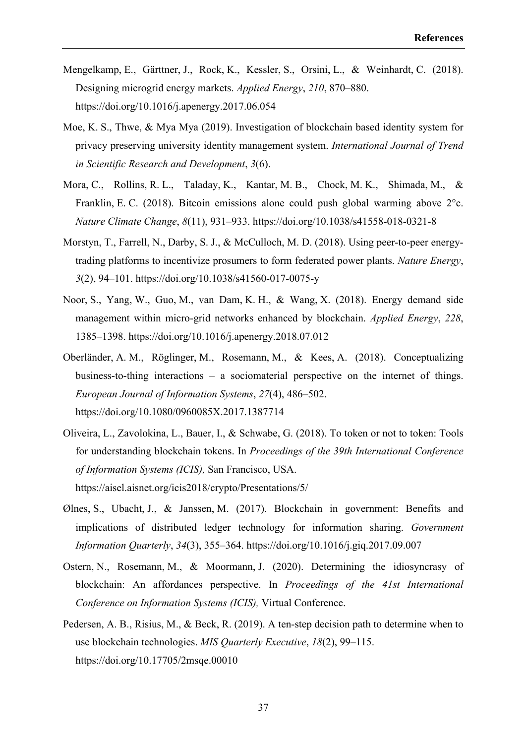- Mengelkamp, E., Gärttner, J., Rock, K., Kessler, S., Orsini, L., & Weinhardt, C. (2018). Designing microgrid energy markets. *Applied Energy*, *210*, 870–880. https://doi.org/10.1016/j.apenergy.2017.06.054
- Moe, K. S., Thwe, & Mya Mya (2019). Investigation of blockchain based identity system for privacy preserving university identity management system. *International Journal of Trend in Scientific Research and Development*, *3*(6).
- Mora, C., Rollins, R. L., Taladay, K., Kantar, M. B., Chock, M. K., Shimada, M., & Franklin, E. C. (2018). Bitcoin emissions alone could push global warming above 2°c. *Nature Climate Change*, *8*(11), 931–933. https://doi.org/10.1038/s41558-018-0321-8
- Morstyn, T., Farrell, N., Darby, S. J., & McCulloch, M. D. (2018). Using peer-to-peer energytrading platforms to incentivize prosumers to form federated power plants. *Nature Energy*, *3*(2), 94–101. https://doi.org/10.1038/s41560-017-0075-y
- Noor, S., Yang, W., Guo, M., van Dam, K. H., & Wang, X. (2018). Energy demand side management within micro-grid networks enhanced by blockchain. *Applied Energy*, *228*, 1385–1398. https://doi.org/10.1016/j.apenergy.2018.07.012
- Oberländer, A. M., Röglinger, M., Rosemann, M., & Kees, A. (2018). Conceptualizing business-to-thing interactions – a sociomaterial perspective on the internet of things. *European Journal of Information Systems*, *27*(4), 486–502. https://doi.org/10.1080/0960085X.2017.1387714
- Oliveira, L., Zavolokina, L., Bauer, I., & Schwabe, G. (2018). To token or not to token: Tools for understanding blockchain tokens. In *Proceedings of the 39th International Conference of Information Systems (ICIS),* San Francisco, USA. https://aisel.aisnet.org/icis2018/crypto/Presentations/5/
- Ølnes, S., Ubacht, J., & Janssen, M. (2017). Blockchain in government: Benefits and implications of distributed ledger technology for information sharing. *Government Information Quarterly*, *34*(3), 355–364. https://doi.org/10.1016/j.giq.2017.09.007
- Ostern, N., Rosemann, M., & Moormann, J. (2020). Determining the idiosyncrasy of blockchain: An affordances perspective. In *Proceedings of the 41st International Conference on Information Systems (ICIS),* Virtual Conference.
- Pedersen, A. B., Risius, M., & Beck, R. (2019). A ten-step decision path to determine when to use blockchain technologies. *MIS Quarterly Executive*, *18*(2), 99–115. https://doi.org/10.17705/2msqe.00010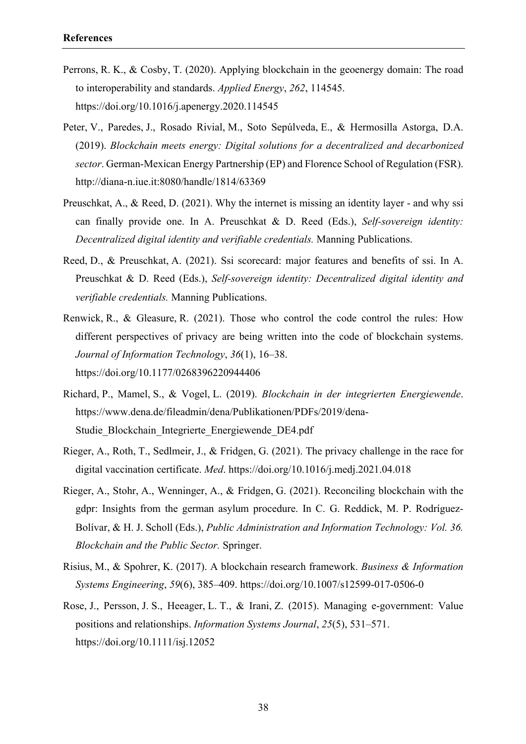- Perrons, R. K., & Cosby, T. (2020). Applying blockchain in the geoenergy domain: The road to interoperability and standards. *Applied Energy*, *262*, 114545. https://doi.org/10.1016/j.apenergy.2020.114545
- Peter, V., Paredes, J., Rosado Rivial, M., Soto Sepúlveda, E., & Hermosilla Astorga, D.A. (2019). *Blockchain meets energy: Digital solutions for a decentralized and decarbonized sector*. German-Mexican Energy Partnership (EP) and Florence School of Regulation (FSR). http://diana-n.iue.it:8080/handle/1814/63369
- Preuschkat, A., & Reed, D. (2021). Why the internet is missing an identity layer and why ssi can finally provide one. In A. Preuschkat & D. Reed (Eds.), *Self-sovereign identity: Decentralized digital identity and verifiable credentials.* Manning Publications.
- Reed, D., & Preuschkat, A. (2021). Ssi scorecard: major features and benefits of ssi. In A. Preuschkat & D. Reed (Eds.), *Self-sovereign identity: Decentralized digital identity and verifiable credentials.* Manning Publications.
- Renwick, R., & Gleasure, R. (2021). Those who control the code control the rules: How different perspectives of privacy are being written into the code of blockchain systems. *Journal of Information Technology*, *36*(1), 16–38. https://doi.org/10.1177/0268396220944406
- Richard, P., Mamel, S., & Vogel, L. (2019). *Blockchain in der integrierten Energiewende*. https://www.dena.de/fileadmin/dena/Publikationen/PDFs/2019/dena-Studie Blockchain Integrierte Energiewende DE4.pdf
- Rieger, A., Roth, T., Sedlmeir, J., & Fridgen, G. (2021). The privacy challenge in the race for digital vaccination certificate. *Med*. https://doi.org/10.1016/j.medj.2021.04.018
- Rieger, A., Stohr, A., Wenninger, A., & Fridgen, G. (2021). Reconciling blockchain with the gdpr: Insights from the german asylum procedure. In C. G. Reddick, M. P. Rodríguez-Bolívar, & H. J. Scholl (Eds.), *Public Administration and Information Technology: Vol. 36. Blockchain and the Public Sector.* Springer.
- Risius, M., & Spohrer, K. (2017). A blockchain research framework. *Business & Information Systems Engineering*, *59*(6), 385–409. https://doi.org/10.1007/s12599-017-0506-0
- Rose, J., Persson, J. S., Heeager, L. T., & Irani, Z. (2015). Managing e‐government: Value positions and relationships. *Information Systems Journal*, *25*(5), 531–571. https://doi.org/10.1111/isj.12052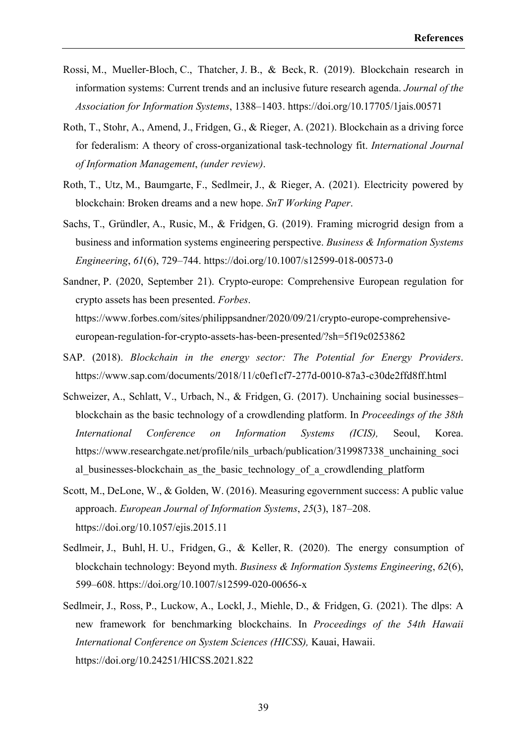- Rossi, M., Mueller-Bloch, C., Thatcher, J. B., & Beck, R. (2019). Blockchain research in information systems: Current trends and an inclusive future research agenda. *Journal of the Association for Information Systems*, 1388–1403. https://doi.org/10.17705/1jais.00571
- Roth, T., Stohr, A., Amend, J., Fridgen, G., & Rieger, A. (2021). Blockchain as a driving force for federalism: A theory of cross-organizational task-technology fit. *International Journal of Information Management*, *(under review)*.
- Roth, T., Utz, M., Baumgarte, F., Sedlmeir, J., & Rieger, A. (2021). Electricity powered by blockchain: Broken dreams and a new hope. *SnT Working Paper*.
- Sachs, T., Gründler, A., Rusic, M., & Fridgen, G. (2019). Framing microgrid design from a business and information systems engineering perspective. *Business & Information Systems Engineering*, *61*(6), 729–744. https://doi.org/10.1007/s12599-018-00573-0
- Sandner, P. (2020, September 21). Crypto-europe: Comprehensive European regulation for crypto assets has been presented. *Forbes*. https://www.forbes.com/sites/philippsandner/2020/09/21/crypto-europe-comprehensiveeuropean-regulation-for-crypto-assets-has-been-presented/?sh=5f19c0253862
- SAP. (2018). *Blockchain in the energy sector: The Potential for Energy Providers*. https://www.sap.com/documents/2018/11/c0ef1cf7-277d-0010-87a3-c30de2ffd8ff.html
- Schweizer, A., Schlatt, V., Urbach, N., & Fridgen, G. (2017). Unchaining social businesses– blockchain as the basic technology of a crowdlending platform. In *Proceedings of the 38th International Conference on Information Systems (ICIS),* Seoul, Korea. https://www.researchgate.net/profile/nils\_urbach/publication/319987338\_unchaining\_soci al businesses-blockchain as the basic technology of a crowdlending platform
- Scott, M., DeLone, W., & Golden, W. (2016). Measuring egovernment success: A public value approach. *European Journal of Information Systems*, *25*(3), 187–208. https://doi.org/10.1057/ejis.2015.11
- Sedlmeir, J., Buhl, H. U., Fridgen, G., & Keller, R. (2020). The energy consumption of blockchain technology: Beyond myth. *Business & Information Systems Engineering*, *62*(6), 599–608. https://doi.org/10.1007/s12599-020-00656-x
- Sedlmeir, J., Ross, P., Luckow, A., Lockl, J., Miehle, D., & Fridgen, G. (2021). The dlps: A new framework for benchmarking blockchains. In *Proceedings of the 54th Hawaii International Conference on System Sciences (HICSS),* Kauai, Hawaii. https://doi.org/10.24251/HICSS.2021.822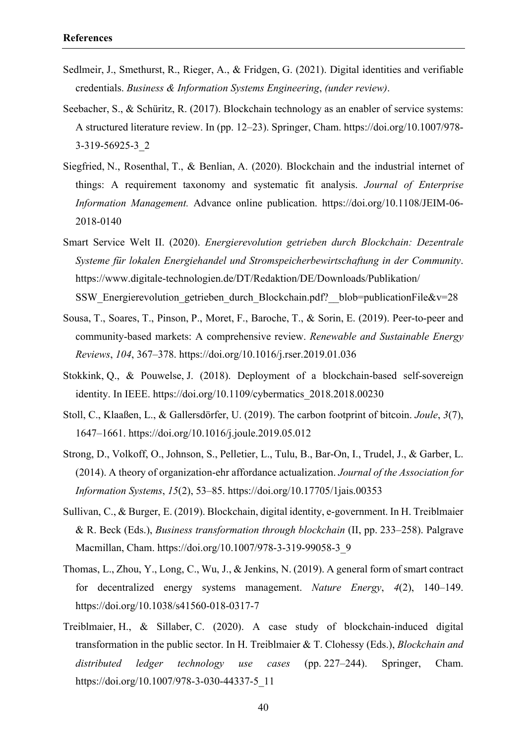- Sedlmeir, J., Smethurst, R., Rieger, A., & Fridgen, G. (2021). Digital identities and verifiable credentials. *Business & Information Systems Engineering*, *(under review)*.
- Seebacher, S., & Schüritz, R. (2017). Blockchain technology as an enabler of service systems: A structured literature review. In (pp. 12–23). Springer, Cham. https://doi.org/10.1007/978- 3-319-56925-3\_2
- Siegfried, N., Rosenthal, T., & Benlian, A. (2020). Blockchain and the industrial internet of things: A requirement taxonomy and systematic fit analysis. *Journal of Enterprise Information Management.* Advance online publication. https://doi.org/10.1108/JEIM-06- 2018-0140
- Smart Service Welt II. (2020). *Energierevolution getrieben durch Blockchain: Dezentrale Systeme für lokalen Energiehandel und Stromspeicherbewirtschaftung in der Community*. https://www.digitale-technologien.de/DT/Redaktion/DE/Downloads/Publikation/ SSW Energierevolution getrieben durch Blockchain.pdf? blob=publicationFile&v=28
- Sousa, T., Soares, T., Pinson, P., Moret, F., Baroche, T., & Sorin, E. (2019). Peer-to-peer and community-based markets: A comprehensive review. *Renewable and Sustainable Energy Reviews*, *104*, 367–378. https://doi.org/10.1016/j.rser.2019.01.036
- Stokkink, Q., & Pouwelse, J. (2018). Deployment of a blockchain-based self-sovereign identity. In IEEE. https://doi.org/10.1109/cybermatics\_2018.2018.00230
- Stoll, C., Klaaßen, L., & Gallersdörfer, U. (2019). The carbon footprint of bitcoin. *Joule*, *3*(7), 1647–1661. https://doi.org/10.1016/j.joule.2019.05.012
- Strong, D., Volkoff, O., Johnson, S., Pelletier, L., Tulu, B., Bar-On, I., Trudel, J., & Garber, L. (2014). A theory of organization-ehr affordance actualization. *Journal of the Association for Information Systems*, *15*(2), 53–85. https://doi.org/10.17705/1jais.00353
- Sullivan, C., & Burger, E. (2019). Blockchain, digital identity, e-government. In H. Treiblmaier & R. Beck (Eds.), *Business transformation through blockchain* (II, pp. 233–258). Palgrave Macmillan, Cham. https://doi.org/10.1007/978-3-319-99058-3\_9
- Thomas, L., Zhou, Y., Long, C., Wu, J., & Jenkins, N. (2019). A general form of smart contract for decentralized energy systems management. *Nature Energy*, *4*(2), 140–149. https://doi.org/10.1038/s41560-018-0317-7
- Treiblmaier, H., & Sillaber, C. (2020). A case study of blockchain-induced digital transformation in the public sector. In H. Treiblmaier & T. Clohessy (Eds.), *Blockchain and distributed ledger technology use cases* (pp. 227–244). Springer, Cham. https://doi.org/10.1007/978-3-030-44337-5\_11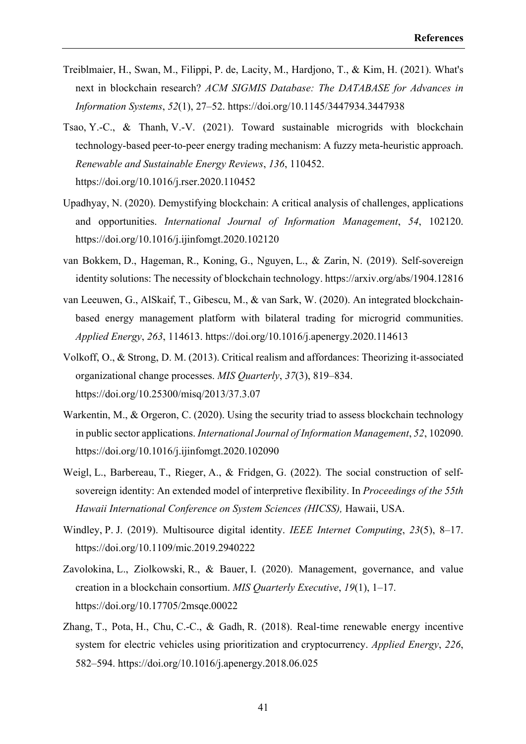- Treiblmaier, H., Swan, M., Filippi, P. de, Lacity, M., Hardjono, T., & Kim, H. (2021). What's next in blockchain research? *ACM SIGMIS Database: The DATABASE for Advances in Information Systems*, *52*(1), 27–52. https://doi.org/10.1145/3447934.3447938
- Tsao, Y.‑C., & Thanh, V.‑V. (2021). Toward sustainable microgrids with blockchain technology-based peer-to-peer energy trading mechanism: A fuzzy meta-heuristic approach. *Renewable and Sustainable Energy Reviews*, *136*, 110452. https://doi.org/10.1016/j.rser.2020.110452
- Upadhyay, N. (2020). Demystifying blockchain: A critical analysis of challenges, applications and opportunities. *International Journal of Information Management*, *54*, 102120. https://doi.org/10.1016/j.ijinfomgt.2020.102120
- van Bokkem, D., Hageman, R., Koning, G., Nguyen, L., & Zarin, N. (2019). Self-sovereign identity solutions: The necessity of blockchain technology. https://arxiv.org/abs/1904.12816
- van Leeuwen, G., AlSkaif, T., Gibescu, M., & van Sark, W. (2020). An integrated blockchainbased energy management platform with bilateral trading for microgrid communities. *Applied Energy*, *263*, 114613. https://doi.org/10.1016/j.apenergy.2020.114613
- Volkoff, O., & Strong, D. M. (2013). Critical realism and affordances: Theorizing it-associated organizational change processes. *MIS Quarterly*, *37*(3), 819–834. https://doi.org/10.25300/misq/2013/37.3.07
- Warkentin, M., & Orgeron, C. (2020). Using the security triad to assess blockchain technology in public sector applications. *International Journal of Information Management*, *52*, 102090. https://doi.org/10.1016/j.ijinfomgt.2020.102090
- Weigl, L., Barbereau, T., Rieger, A., & Fridgen, G. (2022). The social construction of selfsovereign identity: An extended model of interpretive flexibility. In *Proceedings of the 55th Hawaii International Conference on System Sciences (HICSS),* Hawaii, USA.
- Windley, P. J. (2019). Multisource digital identity. *IEEE Internet Computing*, *23*(5), 8–17. https://doi.org/10.1109/mic.2019.2940222
- Zavolokina, L., Ziolkowski, R., & Bauer, I. (2020). Management, governance, and value creation in a blockchain consortium. *MIS Quarterly Executive*, *19*(1), 1–17. https://doi.org/10.17705/2msqe.00022
- Zhang, T., Pota, H., Chu, C.-C., & Gadh, R. (2018). Real-time renewable energy incentive system for electric vehicles using prioritization and cryptocurrency. *Applied Energy*, *226*, 582–594. https://doi.org/10.1016/j.apenergy.2018.06.025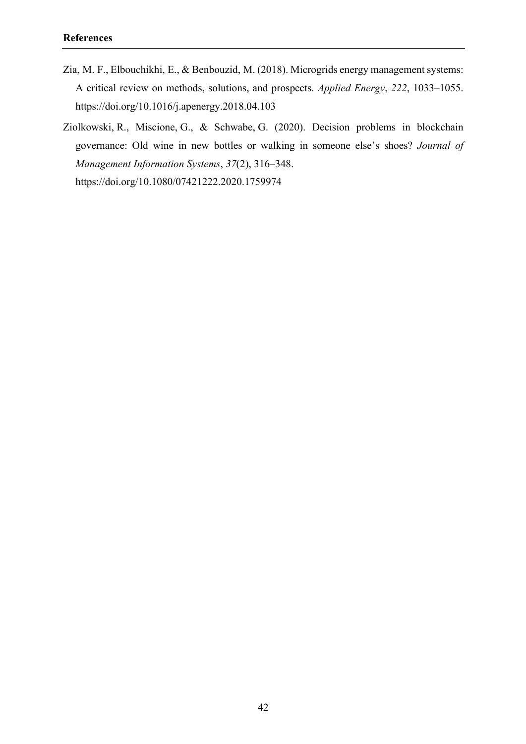- Zia, M. F., Elbouchikhi, E., & Benbouzid, M. (2018). Microgrids energy management systems: A critical review on methods, solutions, and prospects. *Applied Energy*, *222*, 1033–1055. https://doi.org/10.1016/j.apenergy.2018.04.103
- Ziolkowski, R., Miscione, G., & Schwabe, G. (2020). Decision problems in blockchain governance: Old wine in new bottles or walking in someone else's shoes? *Journal of Management Information Systems*, *37*(2), 316–348. https://doi.org/10.1080/07421222.2020.1759974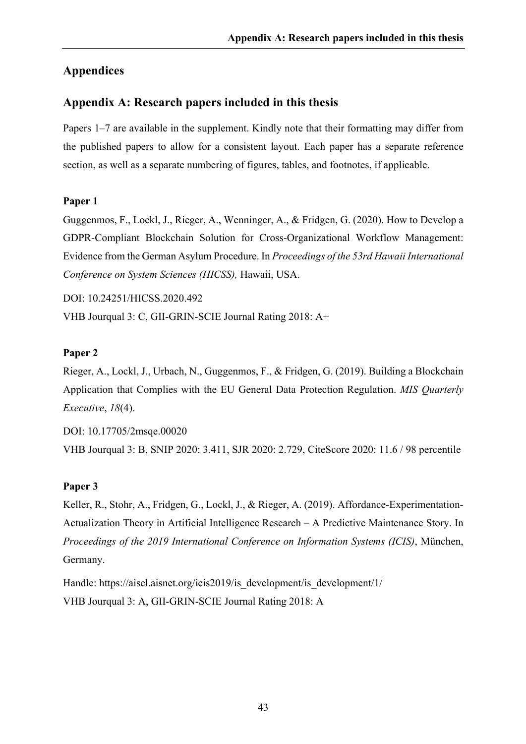# **Appendices**

# **Appendix A: Research papers included in this thesis**

Papers 1–7 are available in the supplement. Kindly note that their formatting may differ from the published papers to allow for a consistent layout. Each paper has a separate reference section, as well as a separate numbering of figures, tables, and footnotes, if applicable.

#### **Paper 1**

Guggenmos, F., Lockl, J., Rieger, A., Wenninger, A., & Fridgen, G. (2020). How to Develop a GDPR-Compliant Blockchain Solution for Cross-Organizational Workflow Management: Evidence from the German Asylum Procedure. In *Proceedings of the 53rd Hawaii International Conference on System Sciences (HICSS),* Hawaii, USA.

DOI: 10.24251/HICSS.2020.492

VHB Jourqual 3: C, GII-GRIN-SCIE Journal Rating 2018: A+

#### **Paper 2**

Rieger, A., Lockl, J., Urbach, N., Guggenmos, F., & Fridgen, G. (2019). Building a Blockchain Application that Complies with the EU General Data Protection Regulation. *MIS Quarterly Executive*, *18*(4).

DOI: 10.17705/2msqe.00020 VHB Jourqual 3: B, SNIP 2020: 3.411, SJR 2020: 2.729, CiteScore 2020: 11.6 / 98 percentile

#### **Paper 3**

Keller, R., Stohr, A., Fridgen, G., Lockl, J., & Rieger, A. (2019). Affordance-Experimentation-Actualization Theory in Artificial Intelligence Research – A Predictive Maintenance Story. In *Proceedings of the 2019 International Conference on Information Systems (ICIS)*, München, Germany.

Handle: https://aisel.aisnet.org/icis2019/is\_development/is\_development/1/ VHB Jourqual 3: A, GII-GRIN-SCIE Journal Rating 2018: A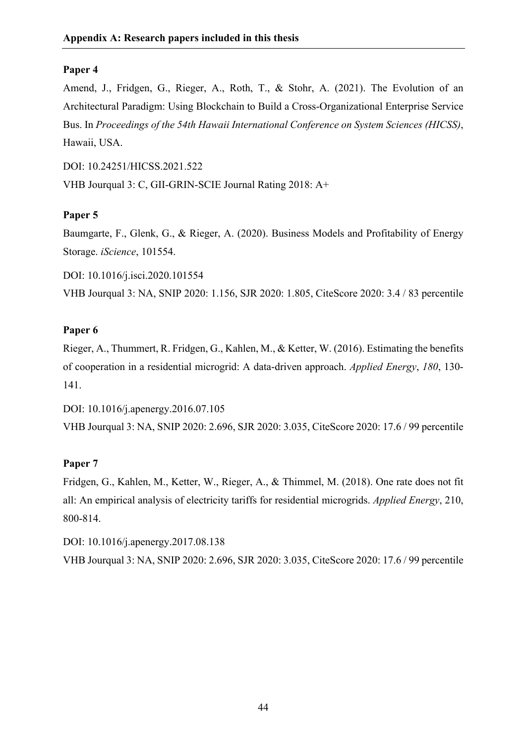Amend, J., Fridgen, G., Rieger, A., Roth, T., & Stohr, A. (2021). The Evolution of an Architectural Paradigm: Using Blockchain to Build a Cross-Organizational Enterprise Service Bus. In *Proceedings of the 54th Hawaii International Conference on System Sciences (HICSS)*, Hawaii, USA.

DOI: 10.24251/HICSS.2021.522 VHB Jourqual 3: C, GII-GRIN-SCIE Journal Rating 2018: A+

# **Paper 5**

Baumgarte, F., Glenk, G., & Rieger, A. (2020). Business Models and Profitability of Energy Storage. *iScience*, 101554.

DOI: 10.1016/j.isci.2020.101554 VHB Jourqual 3: NA, SNIP 2020: 1.156, SJR 2020: 1.805, CiteScore 2020: 3.4 / 83 percentile

# **Paper 6**

Rieger, A., Thummert, R. Fridgen, G., Kahlen, M., & Ketter, W. (2016). Estimating the benefits of cooperation in a residential microgrid: A data-driven approach. *Applied Energy*, *180*, 130- 141.

DOI: 10.1016/j.apenergy.2016.07.105 VHB Jourqual 3: NA, SNIP 2020: 2.696, SJR 2020: 3.035, CiteScore 2020: 17.6 / 99 percentile

# **Paper 7**

Fridgen, G., Kahlen, M., Ketter, W., Rieger, A., & Thimmel, M. (2018). One rate does not fit all: An empirical analysis of electricity tariffs for residential microgrids. *Applied Energy*, 210, 800-814.

DOI: 10.1016/j.apenergy.2017.08.138 VHB Jourqual 3: NA, SNIP 2020: 2.696, SJR 2020: 3.035, CiteScore 2020: 17.6 / 99 percentile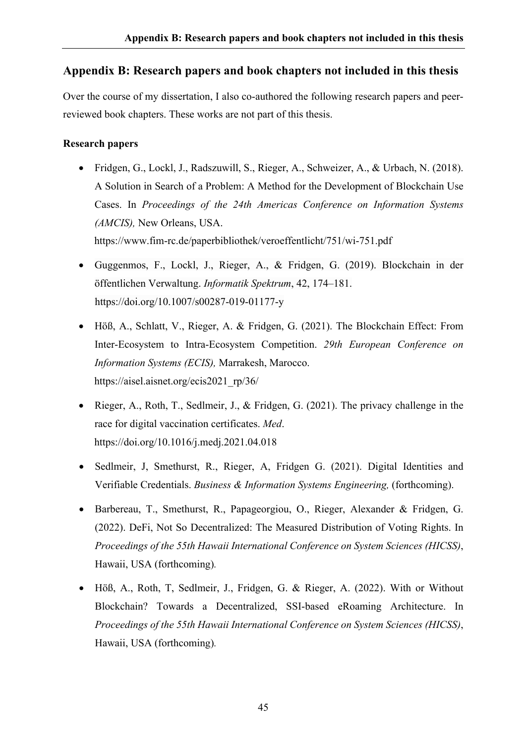# **Appendix B: Research papers and book chapters not included in this thesis**

Over the course of my dissertation, I also co-authored the following research papers and peerreviewed book chapters. These works are not part of this thesis.

### **Research papers**

- Fridgen, G., Lockl, J., Radszuwill, S., Rieger, A., Schweizer, A., & Urbach, N. (2018). A Solution in Search of a Problem: A Method for the Development of Blockchain Use Cases. In *Proceedings of the 24th Americas Conference on Information Systems (AMCIS),* New Orleans, USA. https://www.fim-rc.de/paperbibliothek/veroeffentlicht/751/wi-751.pdf
- Guggenmos, F., Lockl, J., Rieger, A., & Fridgen, G. (2019). Blockchain in der öffentlichen Verwaltung. *Informatik Spektrum*, 42, 174–181. https://doi.org/10.1007/s00287-019-01177-y
- Höß, A., Schlatt, V., Rieger, A. & Fridgen, G. (2021). The Blockchain Effect: From Inter-Ecosystem to Intra-Ecosystem Competition. *29th European Conference on Information Systems (ECIS),* Marrakesh, Marocco. https://aisel.aisnet.org/ecis2021\_rp/36/
- Rieger, A., Roth, T., Sedlmeir, J., & Fridgen, G. (2021). The privacy challenge in the race for digital vaccination certificates. *Med*. https://doi.org/10.1016/j.medj.2021.04.018
- Sedlmeir, J, Smethurst, R., Rieger, A, Fridgen G. (2021). Digital Identities and Verifiable Credentials. *Business & Information Systems Engineering,* (forthcoming).
- Barbereau, T., Smethurst, R., Papageorgiou, O., Rieger, Alexander & Fridgen, G. (2022). DeFi, Not So Decentralized: The Measured Distribution of Voting Rights. In *Proceedings of the 55th Hawaii International Conference on System Sciences (HICSS)*, Hawaii, USA (forthcoming)*.*
- Höß, A., Roth, T, Sedlmeir, J., Fridgen, G. & Rieger, A. (2022). With or Without Blockchain? Towards a Decentralized, SSI-based eRoaming Architecture. In *Proceedings of the 55th Hawaii International Conference on System Sciences (HICSS)*, Hawaii, USA (forthcoming)*.*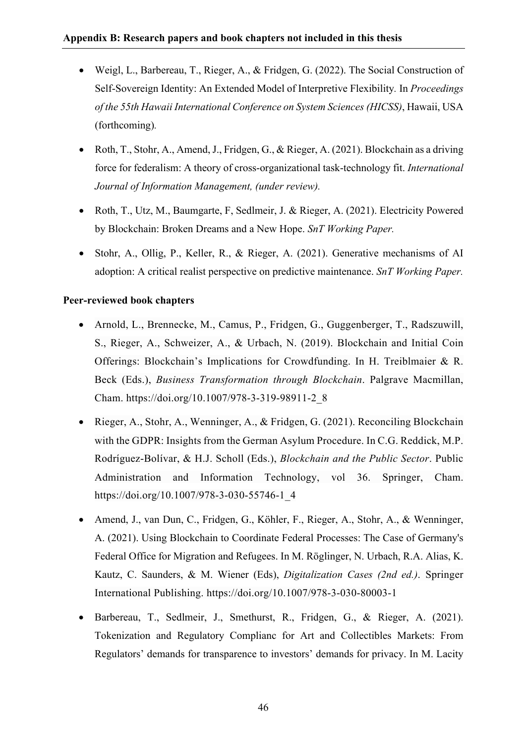- Weigl, L., Barbereau, T., Rieger, A., & Fridgen, G. (2022). The Social Construction of Self-Sovereign Identity: An Extended Model of Interpretive Flexibility*.* In *Proceedings of the 55th Hawaii International Conference on System Sciences (HICSS)*, Hawaii, USA (forthcoming)*.*
- Roth, T., Stohr, A., Amend, J., Fridgen, G., & Rieger, A. (2021). Blockchain as a driving force for federalism: A theory of cross-organizational task-technology fit. *International Journal of Information Management, (under review).*
- Roth, T., Utz, M., Baumgarte, F. Sedlmeir, J. & Rieger, A. (2021). Electricity Powered by Blockchain: Broken Dreams and a New Hope. *SnT Working Paper.*
- Stohr, A., Ollig, P., Keller, R., & Rieger, A. (2021). Generative mechanisms of AI adoption: A critical realist perspective on predictive maintenance. *SnT Working Paper.*

#### **Peer-reviewed book chapters**

- Arnold, L., Brennecke, M., Camus, P., Fridgen, G., Guggenberger, T., Radszuwill, S., Rieger, A., Schweizer, A., & Urbach, N. (2019). Blockchain and Initial Coin Offerings: Blockchain's Implications for Crowdfunding. In H. Treiblmaier & R. Beck (Eds.), *Business Transformation through Blockchain*. Palgrave Macmillan, Cham. https://doi.org/10.1007/978-3-319-98911-2\_8
- Rieger, A., Stohr, A., Wenninger, A., & Fridgen, G. (2021). Reconciling Blockchain with the GDPR: Insights from the German Asylum Procedure. In C.G. Reddick, M.P. Rodríguez-Bolívar, & H.J. Scholl (Eds.), *Blockchain and the Public Sector*. Public Administration and Information Technology, vol 36. Springer, Cham. https://doi.org/10.1007/978-3-030-55746-1\_4
- Amend, J., van Dun, C., Fridgen, G., Köhler, F., Rieger, A., Stohr, A., & Wenninger, A. (2021). Using Blockchain to Coordinate Federal Processes: The Case of Germany's Federal Office for Migration and Refugees. In M. Röglinger, N. Urbach, R.A. Alias, K. Kautz, C. Saunders, & M. Wiener (Eds), *Digitalization Cases (2nd ed.)*. Springer International Publishing. https://doi.org/10.1007/978-3-030-80003-1
- Barbereau, T., Sedlmeir, J., Smethurst, R., Fridgen, G., & Rieger, A. (2021). Tokenization and Regulatory Complianc for Art and Collectibles Markets: From Regulators' demands for transparence to investors' demands for privacy. In M. Lacity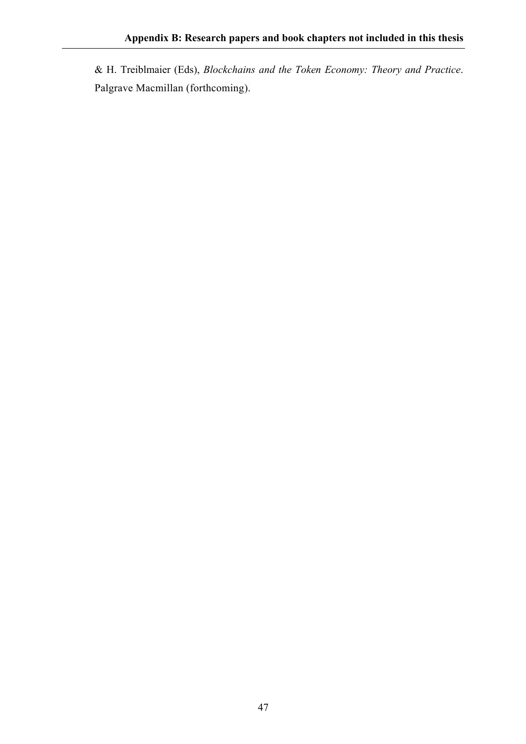& H. Treiblmaier (Eds), *Blockchains and the Token Economy: Theory and Practice*. Palgrave Macmillan (forthcoming).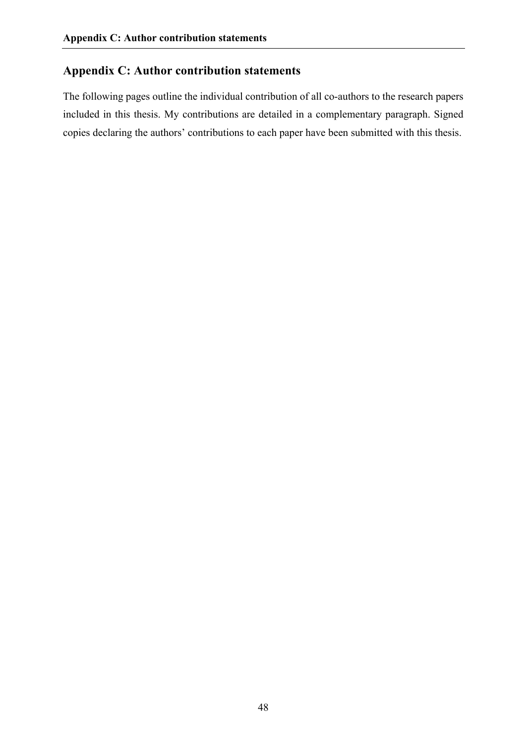# **Appendix C: Author contribution statements**

The following pages outline the individual contribution of all co-authors to the research papers included in this thesis. My contributions are detailed in a complementary paragraph. Signed copies declaring the authors' contributions to each paper have been submitted with this thesis.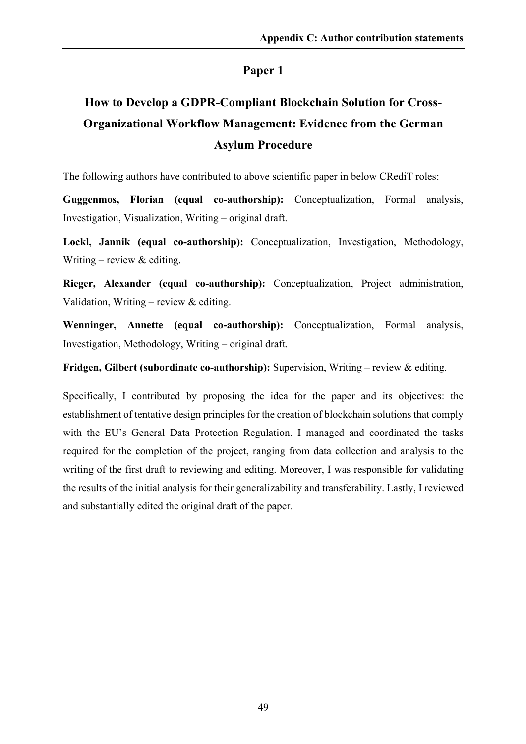# **How to Develop a GDPR-Compliant Blockchain Solution for Cross-Organizational Workflow Management: Evidence from the German Asylum Procedure**

The following authors have contributed to above scientific paper in below CRediT roles:

**Guggenmos, Florian (equal co-authorship):** Conceptualization, Formal analysis, Investigation, Visualization, Writing – original draft.

**Lockl, Jannik (equal co-authorship):** Conceptualization, Investigation, Methodology, Writing – review  $&$  editing.

**Rieger, Alexander (equal co-authorship):** Conceptualization, Project administration, Validation, Writing – review  $&$  editing.

**Wenninger, Annette (equal co-authorship):** Conceptualization, Formal analysis, Investigation, Methodology, Writing – original draft.

**Fridgen, Gilbert (subordinate co-authorship):** Supervision, Writing – review & editing.

Specifically, I contributed by proposing the idea for the paper and its objectives: the establishment of tentative design principles for the creation of blockchain solutions that comply with the EU's General Data Protection Regulation. I managed and coordinated the tasks required for the completion of the project, ranging from data collection and analysis to the writing of the first draft to reviewing and editing. Moreover, I was responsible for validating the results of the initial analysis for their generalizability and transferability. Lastly, I reviewed and substantially edited the original draft of the paper.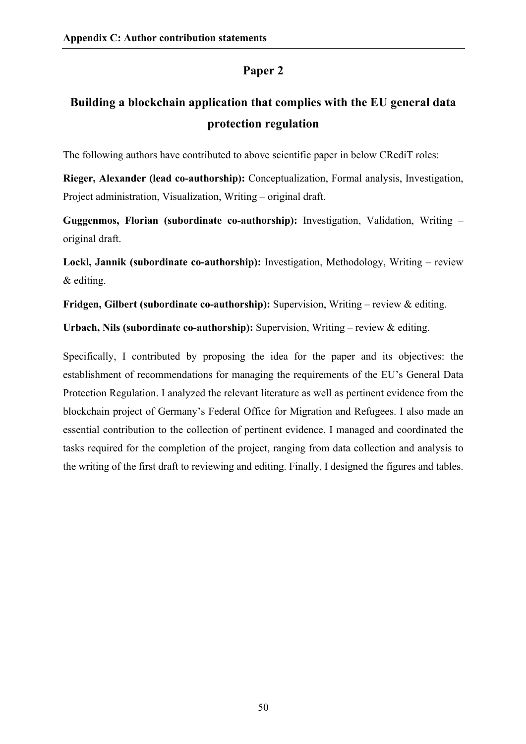# **Building a blockchain application that complies with the EU general data protection regulation**

The following authors have contributed to above scientific paper in below CRediT roles:

**Rieger, Alexander (lead co-authorship):** Conceptualization, Formal analysis, Investigation, Project administration, Visualization, Writing – original draft.

**Guggenmos, Florian (subordinate co-authorship):** Investigation, Validation, Writing – original draft.

**Lockl, Jannik (subordinate co-authorship):** Investigation, Methodology, Writing – review & editing.

**Fridgen, Gilbert (subordinate co-authorship):** Supervision, Writing – review & editing.

**Urbach, Nils (subordinate co-authorship):** Supervision, Writing – review & editing.

Specifically, I contributed by proposing the idea for the paper and its objectives: the establishment of recommendations for managing the requirements of the EU's General Data Protection Regulation. I analyzed the relevant literature as well as pertinent evidence from the blockchain project of Germany's Federal Office for Migration and Refugees. I also made an essential contribution to the collection of pertinent evidence. I managed and coordinated the tasks required for the completion of the project, ranging from data collection and analysis to the writing of the first draft to reviewing and editing. Finally, I designed the figures and tables.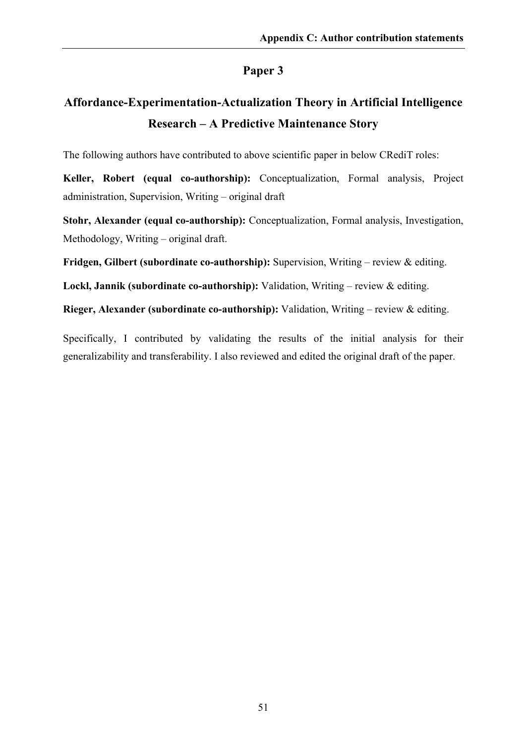# **Affordance-Experimentation-Actualization Theory in Artificial Intelligence Research – A Predictive Maintenance Story**

The following authors have contributed to above scientific paper in below CRediT roles:

**Keller, Robert (equal co-authorship):** Conceptualization, Formal analysis, Project administration, Supervision, Writing – original draft

**Stohr, Alexander (equal co-authorship):** Conceptualization, Formal analysis, Investigation, Methodology, Writing – original draft.

**Fridgen, Gilbert (subordinate co-authorship):** Supervision, Writing – review & editing.

**Lockl, Jannik (subordinate co-authorship):** Validation, Writing – review & editing.

**Rieger, Alexander (subordinate co-authorship):** Validation, Writing – review & editing.

Specifically, I contributed by validating the results of the initial analysis for their generalizability and transferability. I also reviewed and edited the original draft of the paper.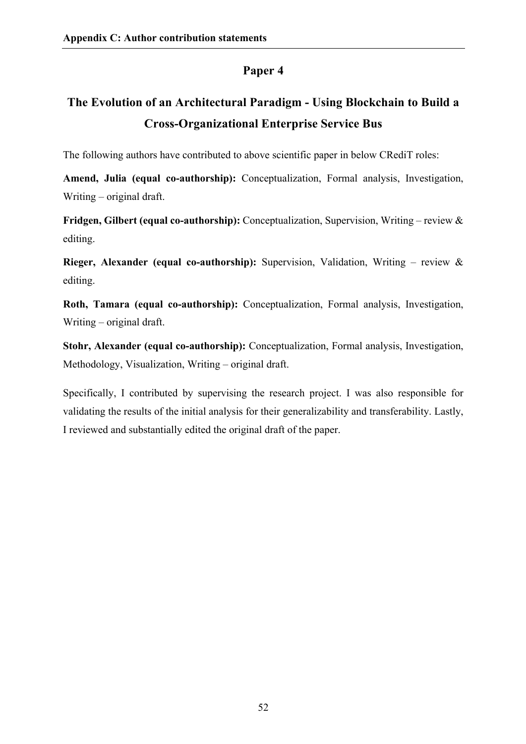# **The Evolution of an Architectural Paradigm - Using Blockchain to Build a Cross-Organizational Enterprise Service Bus**

The following authors have contributed to above scientific paper in below CRediT roles:

**Amend, Julia (equal co-authorship):** Conceptualization, Formal analysis, Investigation, Writing – original draft.

**Fridgen, Gilbert (equal co-authorship):** Conceptualization, Supervision, Writing – review & editing.

**Rieger, Alexander (equal co-authorship):** Supervision, Validation, Writing – review & editing.

**Roth, Tamara (equal co-authorship):** Conceptualization, Formal analysis, Investigation, Writing – original draft.

**Stohr, Alexander (equal co-authorship):** Conceptualization, Formal analysis, Investigation, Methodology, Visualization, Writing – original draft.

Specifically, I contributed by supervising the research project. I was also responsible for validating the results of the initial analysis for their generalizability and transferability. Lastly, I reviewed and substantially edited the original draft of the paper.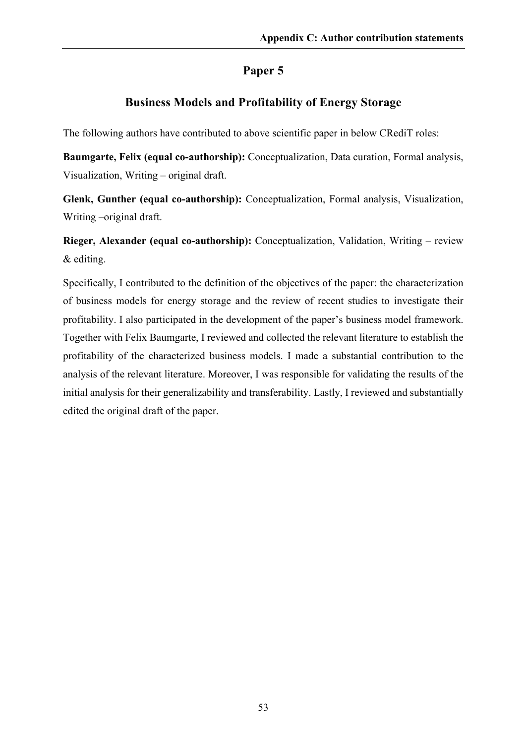# **Business Models and Profitability of Energy Storage**

The following authors have contributed to above scientific paper in below CRediT roles:

**Baumgarte, Felix (equal co-authorship):** Conceptualization, Data curation, Formal analysis, Visualization, Writing – original draft.

**Glenk, Gunther (equal co-authorship):** Conceptualization, Formal analysis, Visualization, Writing –original draft.

**Rieger, Alexander (equal co-authorship):** Conceptualization, Validation, Writing – review & editing.

Specifically, I contributed to the definition of the objectives of the paper: the characterization of business models for energy storage and the review of recent studies to investigate their profitability. I also participated in the development of the paper's business model framework. Together with Felix Baumgarte, I reviewed and collected the relevant literature to establish the profitability of the characterized business models. I made a substantial contribution to the analysis of the relevant literature. Moreover, I was responsible for validating the results of the initial analysis for their generalizability and transferability. Lastly, I reviewed and substantially edited the original draft of the paper.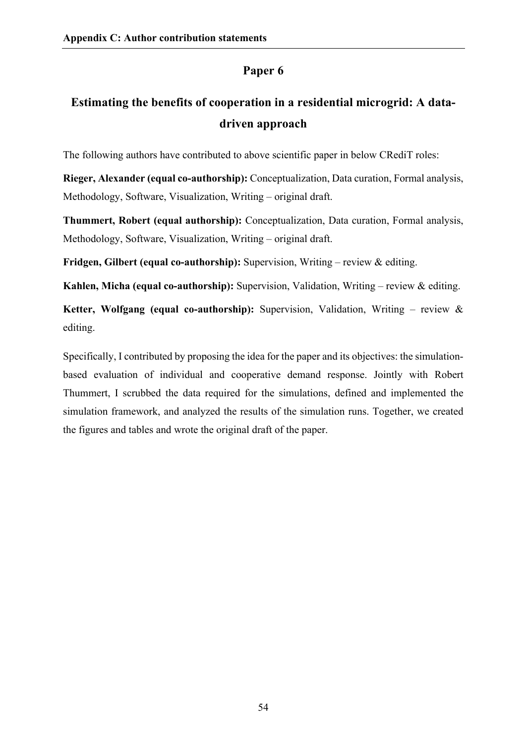# **Estimating the benefits of cooperation in a residential microgrid: A datadriven approach**

The following authors have contributed to above scientific paper in below CRediT roles:

**Rieger, Alexander (equal co-authorship):** Conceptualization, Data curation, Formal analysis, Methodology, Software, Visualization, Writing – original draft.

**Thummert, Robert (equal authorship):** Conceptualization, Data curation, Formal analysis, Methodology, Software, Visualization, Writing – original draft.

**Fridgen, Gilbert (equal co-authorship):** Supervision, Writing – review & editing.

**Kahlen, Micha (equal co-authorship):** Supervision, Validation, Writing – review & editing.

**Ketter, Wolfgang (equal co-authorship):** Supervision, Validation, Writing – review & editing.

Specifically, I contributed by proposing the idea for the paper and its objectives: the simulationbased evaluation of individual and cooperative demand response. Jointly with Robert Thummert, I scrubbed the data required for the simulations, defined and implemented the simulation framework, and analyzed the results of the simulation runs. Together, we created the figures and tables and wrote the original draft of the paper.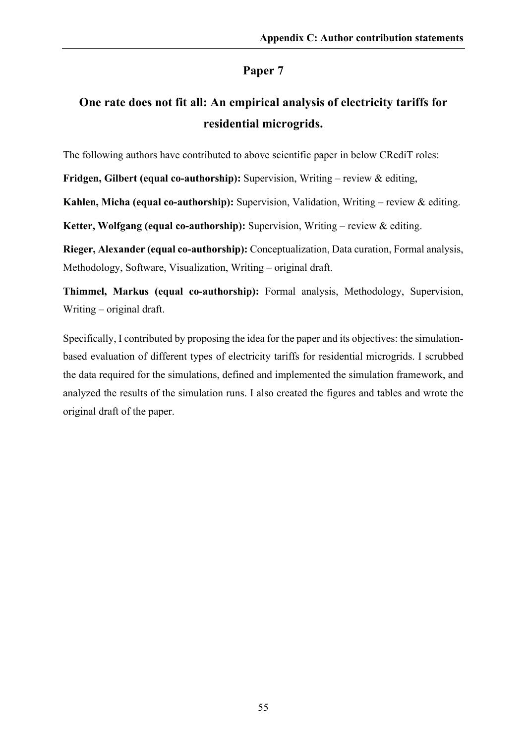# **One rate does not fit all: An empirical analysis of electricity tariffs for residential microgrids.**

The following authors have contributed to above scientific paper in below CRediT roles:

**Fridgen, Gilbert (equal co-authorship):** Supervision, Writing – review & editing,

**Kahlen, Micha (equal co-authorship):** Supervision, Validation, Writing – review & editing.

**Ketter, Wolfgang (equal co-authorship):** Supervision, Writing – review & editing.

**Rieger, Alexander (equal co-authorship):** Conceptualization, Data curation, Formal analysis, Methodology, Software, Visualization, Writing – original draft.

**Thimmel, Markus (equal co-authorship):** Formal analysis, Methodology, Supervision, Writing – original draft.

Specifically, I contributed by proposing the idea for the paper and its objectives: the simulationbased evaluation of different types of electricity tariffs for residential microgrids. I scrubbed the data required for the simulations, defined and implemented the simulation framework, and analyzed the results of the simulation runs. I also created the figures and tables and wrote the original draft of the paper.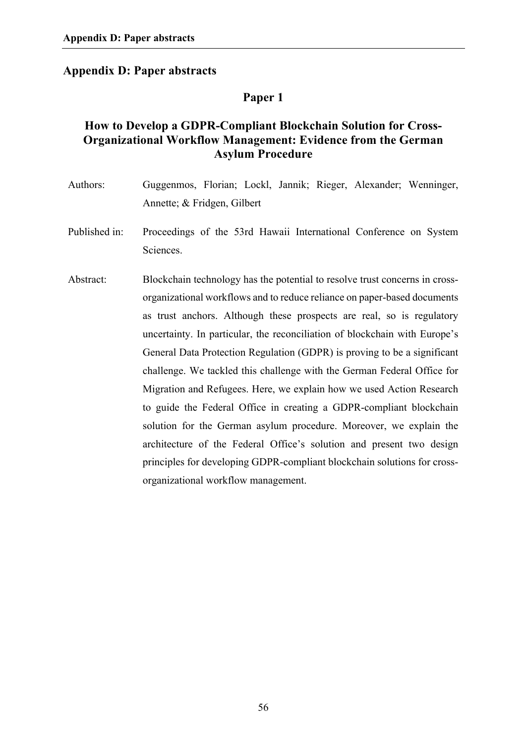# **Appendix D: Paper abstracts**

# **Paper 1**

# **How to Develop a GDPR-Compliant Blockchain Solution for Cross-Organizational Workflow Management: Evidence from the German Asylum Procedure**

| Authors:      | Guggenmos, Florian; Lockl, Jannik; Rieger, Alexander; Wenninger,<br>Annette; & Fridgen, Gilbert                                                                                                                                                                                                                                                                                                                                                                                                                                                                                                                                                                                                                                                                                                                                                                                       |
|---------------|---------------------------------------------------------------------------------------------------------------------------------------------------------------------------------------------------------------------------------------------------------------------------------------------------------------------------------------------------------------------------------------------------------------------------------------------------------------------------------------------------------------------------------------------------------------------------------------------------------------------------------------------------------------------------------------------------------------------------------------------------------------------------------------------------------------------------------------------------------------------------------------|
| Published in: | Proceedings of the 53rd Hawaii International Conference on System<br>Sciences.                                                                                                                                                                                                                                                                                                                                                                                                                                                                                                                                                                                                                                                                                                                                                                                                        |
| Abstract:     | Blockchain technology has the potential to resolve trust concerns in cross-<br>organizational workflows and to reduce reliance on paper-based documents<br>as trust anchors. Although these prospects are real, so is regulatory<br>uncertainty. In particular, the reconciliation of blockchain with Europe's<br>General Data Protection Regulation (GDPR) is proving to be a significant<br>challenge. We tackled this challenge with the German Federal Office for<br>Migration and Refugees. Here, we explain how we used Action Research<br>to guide the Federal Office in creating a GDPR-compliant blockchain<br>solution for the German asylum procedure. Moreover, we explain the<br>architecture of the Federal Office's solution and present two design<br>principles for developing GDPR-compliant blockchain solutions for cross-<br>organizational workflow management. |
|               |                                                                                                                                                                                                                                                                                                                                                                                                                                                                                                                                                                                                                                                                                                                                                                                                                                                                                       |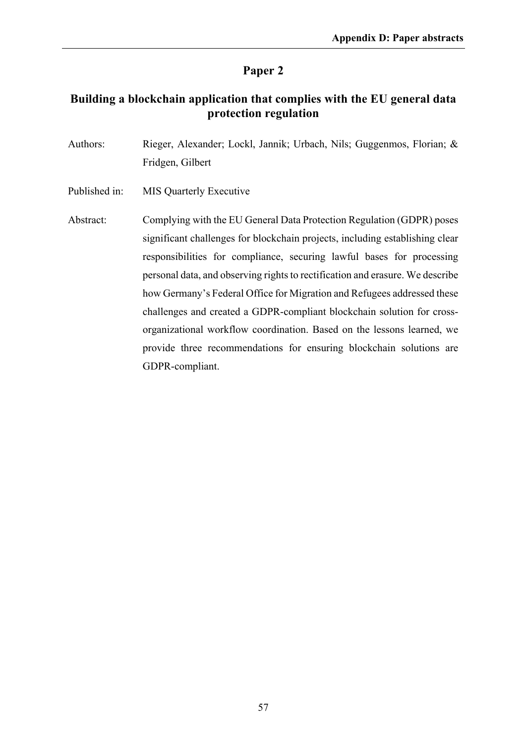# **Building a blockchain application that complies with the EU general data protection regulation**

| Authors: | Rieger, Alexander; Lockl, Jannik; Urbach, Nils; Guggenmos, Florian; & |
|----------|-----------------------------------------------------------------------|
|          | Fridgen, Gilbert                                                      |

Published in: MIS Quarterly Executive

Abstract: Complying with the EU General Data Protection Regulation (GDPR) poses significant challenges for blockchain projects, including establishing clear responsibilities for compliance, securing lawful bases for processing personal data, and observing rights to rectification and erasure. We describe how Germany's Federal Office for Migration and Refugees addressed these challenges and created a GDPR-compliant blockchain solution for crossorganizational workflow coordination. Based on the lessons learned, we provide three recommendations for ensuring blockchain solutions are GDPR-compliant.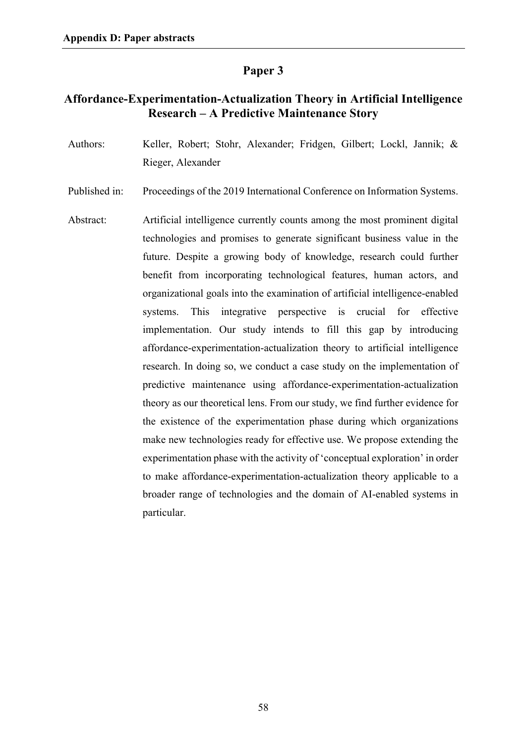# **Affordance-Experimentation-Actualization Theory in Artificial Intelligence Research – A Predictive Maintenance Story**

- Authors: Keller, Robert; Stohr, Alexander; Fridgen, Gilbert; Lockl, Jannik; & Rieger, Alexander
- Published in: Proceedings of the 2019 International Conference on Information Systems.
- Abstract: Artificial intelligence currently counts among the most prominent digital technologies and promises to generate significant business value in the future. Despite a growing body of knowledge, research could further benefit from incorporating technological features, human actors, and organizational goals into the examination of artificial intelligence-enabled systems. This integrative perspective is crucial for effective implementation. Our study intends to fill this gap by introducing affordance-experimentation-actualization theory to artificial intelligence research. In doing so, we conduct a case study on the implementation of predictive maintenance using affordance-experimentation-actualization theory as our theoretical lens. From our study, we find further evidence for the existence of the experimentation phase during which organizations make new technologies ready for effective use. We propose extending the experimentation phase with the activity of 'conceptual exploration' in order to make affordance-experimentation-actualization theory applicable to a broader range of technologies and the domain of AI-enabled systems in particular.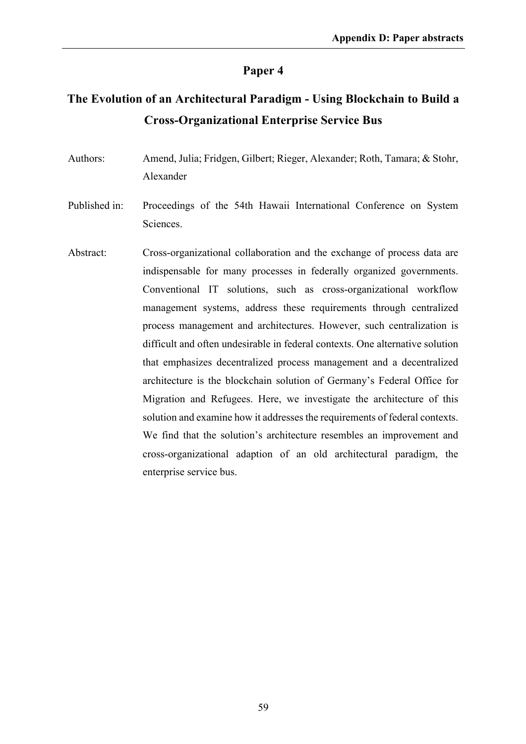# **The Evolution of an Architectural Paradigm - Using Blockchain to Build a Cross-Organizational Enterprise Service Bus**

- Authors: Amend, Julia; Fridgen, Gilbert; Rieger, Alexander; Roth, Tamara; & Stohr, Alexander
- Published in: Proceedings of the 54th Hawaii International Conference on System Sciences.
- Abstract: Cross-organizational collaboration and the exchange of process data are indispensable for many processes in federally organized governments. Conventional IT solutions, such as cross-organizational workflow management systems, address these requirements through centralized process management and architectures. However, such centralization is difficult and often undesirable in federal contexts. One alternative solution that emphasizes decentralized process management and a decentralized architecture is the blockchain solution of Germany's Federal Office for Migration and Refugees. Here, we investigate the architecture of this solution and examine how it addresses the requirements of federal contexts. We find that the solution's architecture resembles an improvement and cross-organizational adaption of an old architectural paradigm, the enterprise service bus.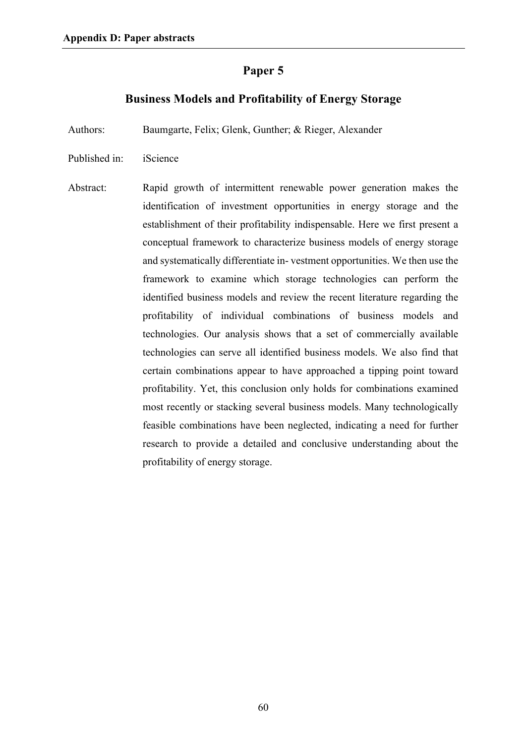### **Business Models and Profitability of Energy Storage**

Authors: Baumgarte, Felix; Glenk, Gunther; & Rieger, Alexander

- Published in: iScience
- Abstract: Rapid growth of intermittent renewable power generation makes the identification of investment opportunities in energy storage and the establishment of their profitability indispensable. Here we first present a conceptual framework to characterize business models of energy storage and systematically differentiate in- vestment opportunities. We then use the framework to examine which storage technologies can perform the identified business models and review the recent literature regarding the profitability of individual combinations of business models and technologies. Our analysis shows that a set of commercially available technologies can serve all identified business models. We also find that certain combinations appear to have approached a tipping point toward profitability. Yet, this conclusion only holds for combinations examined most recently or stacking several business models. Many technologically feasible combinations have been neglected, indicating a need for further research to provide a detailed and conclusive understanding about the profitability of energy storage.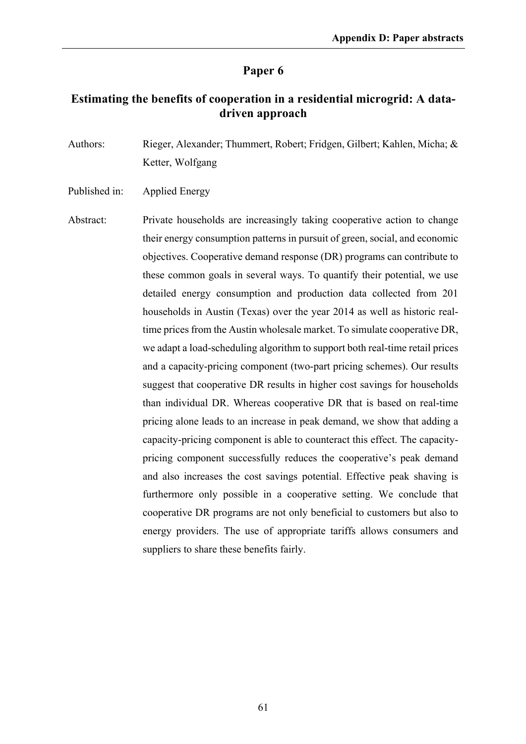# **Estimating the benefits of cooperation in a residential microgrid: A datadriven approach**

Authors: Rieger, Alexander; Thummert, Robert; Fridgen, Gilbert; Kahlen, Micha; & Ketter, Wolfgang

Published in: Applied Energy

Abstract: Private households are increasingly taking cooperative action to change their energy consumption patterns in pursuit of green, social, and economic objectives. Cooperative demand response (DR) programs can contribute to these common goals in several ways. To quantify their potential, we use detailed energy consumption and production data collected from 201 households in Austin (Texas) over the year 2014 as well as historic realtime prices from the Austin wholesale market. To simulate cooperative DR, we adapt a load-scheduling algorithm to support both real-time retail prices and a capacity-pricing component (two-part pricing schemes). Our results suggest that cooperative DR results in higher cost savings for households than individual DR. Whereas cooperative DR that is based on real-time pricing alone leads to an increase in peak demand, we show that adding a capacity-pricing component is able to counteract this effect. The capacitypricing component successfully reduces the cooperative's peak demand and also increases the cost savings potential. Effective peak shaving is furthermore only possible in a cooperative setting. We conclude that cooperative DR programs are not only beneficial to customers but also to energy providers. The use of appropriate tariffs allows consumers and suppliers to share these benefits fairly.